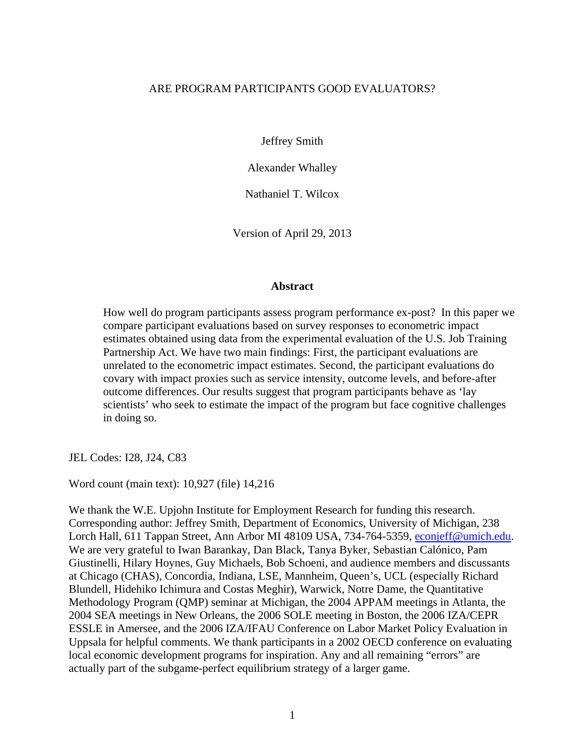### ARE PROGRAM PARTICIPANTS GOOD EVALUATORS?

Jeffrey Smith

Alexander Whalley

Nathaniel T. Wilcox

Version of April 29, 2013

#### **Abstract**

How well do program participants assess program performance ex-post? In this paper we compare participant evaluations based on survey responses to econometric impact estimates obtained using data from the experimental evaluation of the U.S. Job Training Partnership Act. We have two main findings: First, the participant evaluations are unrelated to the econometric impact estimates. Second, the participant evaluations do covary with impact proxies such as service intensity, outcome levels, and before-after outcome differences. Our results suggest that program participants behave as 'lay scientists' who seek to estimate the impact of the program but face cognitive challenges in doing so.

JEL Codes: I28, J24, C83

Word count (main text): 10,927 (file) 14,216

We thank the W.E. Upjohn Institute for Employment Research for funding this research. Corresponding author: Jeffrey Smith, Department of Economics, University of Michigan, 238 Lorch Hall, 611 Tappan Street, Ann Arbor MI 48109 USA, 734-764-5359, econjeff@umich.edu. We are very grateful to Iwan Barankay, Dan Black, Tanya Byker, Sebastian Calónico, Pam Giustinelli, Hilary Hoynes, Guy Michaels, Bob Schoeni, and audience members and discussants at Chicago (CHAS), Concordia, Indiana, LSE, Mannheim, Queen's, UCL (especially Richard Blundell, Hidehiko Ichimura and Costas Meghir), Warwick, Notre Dame, the Quantitative Methodology Program (QMP) seminar at Michigan, the 2004 APPAM meetings in Atlanta, the 2004 SEA meetings in New Orleans, the 2006 SOLE meeting in Boston, the 2006 IZA/CEPR ESSLE in Amersee, and the 2006 IZA/IFAU Conference on Labor Market Policy Evaluation in Uppsala for helpful comments. We thank participants in a 2002 OECD conference on evaluating local economic development programs for inspiration. Any and all remaining "errors" are actually part of the subgame-perfect equilibrium strategy of a larger game.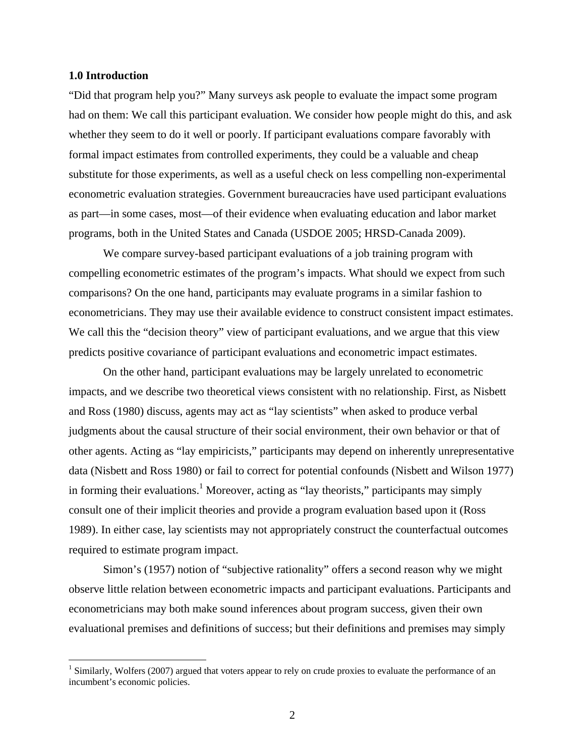#### **1.0 Introduction**

1

"Did that program help you?" Many surveys ask people to evaluate the impact some program had on them: We call this participant evaluation. We consider how people might do this, and ask whether they seem to do it well or poorly. If participant evaluations compare favorably with formal impact estimates from controlled experiments, they could be a valuable and cheap substitute for those experiments, as well as a useful check on less compelling non-experimental econometric evaluation strategies. Government bureaucracies have used participant evaluations as part—in some cases, most—of their evidence when evaluating education and labor market programs, both in the United States and Canada (USDOE 2005; HRSD-Canada 2009).

We compare survey-based participant evaluations of a job training program with compelling econometric estimates of the program's impacts. What should we expect from such comparisons? On the one hand, participants may evaluate programs in a similar fashion to econometricians. They may use their available evidence to construct consistent impact estimates. We call this the "decision theory" view of participant evaluations, and we argue that this view predicts positive covariance of participant evaluations and econometric impact estimates.

On the other hand, participant evaluations may be largely unrelated to econometric impacts, and we describe two theoretical views consistent with no relationship. First, as Nisbett and Ross (1980) discuss, agents may act as "lay scientists" when asked to produce verbal judgments about the causal structure of their social environment, their own behavior or that of other agents. Acting as "lay empiricists," participants may depend on inherently unrepresentative data (Nisbett and Ross 1980) or fail to correct for potential confounds (Nisbett and Wilson 1977) in forming their evaluations.<sup>1</sup> Moreover, acting as "lay theorists," participants may simply consult one of their implicit theories and provide a program evaluation based upon it (Ross 1989). In either case, lay scientists may not appropriately construct the counterfactual outcomes required to estimate program impact.

Simon's (1957) notion of "subjective rationality" offers a second reason why we might observe little relation between econometric impacts and participant evaluations. Participants and econometricians may both make sound inferences about program success, given their own evaluational premises and definitions of success; but their definitions and premises may simply

 $<sup>1</sup>$  Similarly, Wolfers (2007) argued that voters appear to rely on crude proxies to evaluate the performance of an</sup> incumbent's economic policies.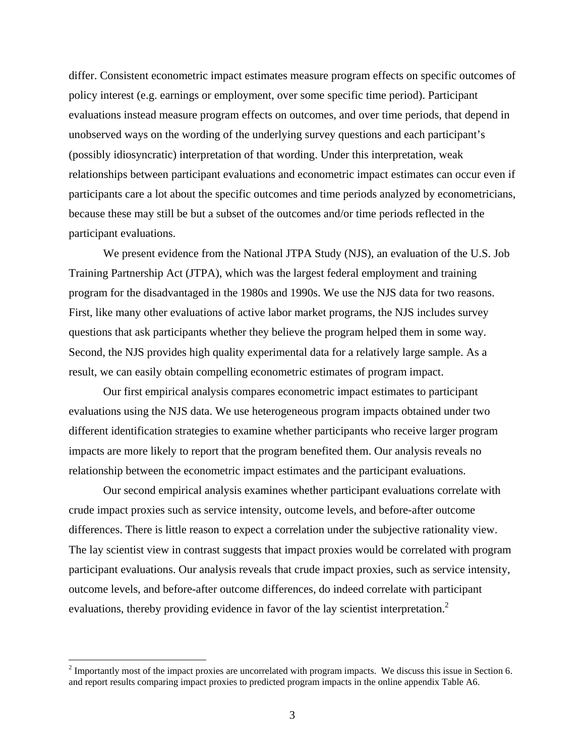differ. Consistent econometric impact estimates measure program effects on specific outcomes of policy interest (e.g. earnings or employment, over some specific time period). Participant evaluations instead measure program effects on outcomes, and over time periods, that depend in unobserved ways on the wording of the underlying survey questions and each participant's (possibly idiosyncratic) interpretation of that wording. Under this interpretation, weak relationships between participant evaluations and econometric impact estimates can occur even if participants care a lot about the specific outcomes and time periods analyzed by econometricians, because these may still be but a subset of the outcomes and/or time periods reflected in the participant evaluations.

We present evidence from the National JTPA Study (NJS), an evaluation of the U.S. Job Training Partnership Act (JTPA), which was the largest federal employment and training program for the disadvantaged in the 1980s and 1990s. We use the NJS data for two reasons. First, like many other evaluations of active labor market programs, the NJS includes survey questions that ask participants whether they believe the program helped them in some way. Second, the NJS provides high quality experimental data for a relatively large sample. As a result, we can easily obtain compelling econometric estimates of program impact.

Our first empirical analysis compares econometric impact estimates to participant evaluations using the NJS data. We use heterogeneous program impacts obtained under two different identification strategies to examine whether participants who receive larger program impacts are more likely to report that the program benefited them. Our analysis reveals no relationship between the econometric impact estimates and the participant evaluations.

Our second empirical analysis examines whether participant evaluations correlate with crude impact proxies such as service intensity, outcome levels, and before-after outcome differences. There is little reason to expect a correlation under the subjective rationality view. The lay scientist view in contrast suggests that impact proxies would be correlated with program participant evaluations. Our analysis reveals that crude impact proxies, such as service intensity, outcome levels, and before-after outcome differences, do indeed correlate with participant evaluations, thereby providing evidence in favor of the lay scientist interpretation.<sup>2</sup>

 $\overline{a}$ 

 $2^{2}$  Importantly most of the impact proxies are uncorrelated with program impacts. We discuss this issue in Section 6. and report results comparing impact proxies to predicted program impacts in the online appendix Table A6.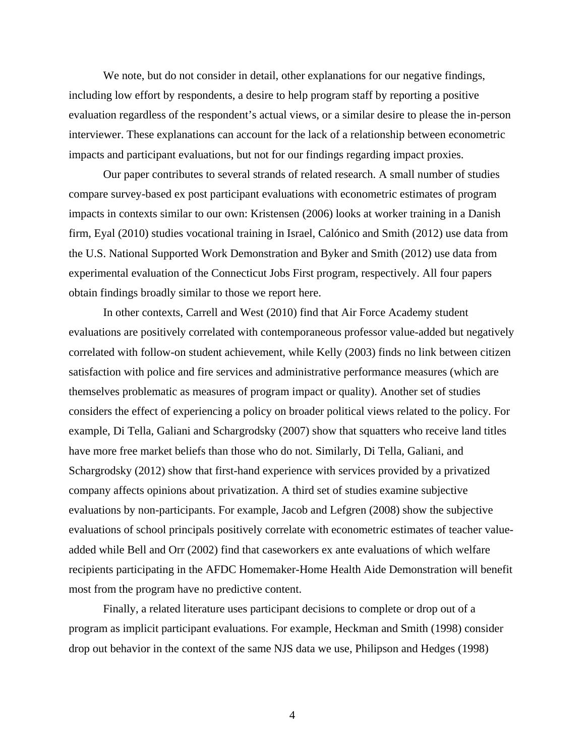We note, but do not consider in detail, other explanations for our negative findings, including low effort by respondents, a desire to help program staff by reporting a positive evaluation regardless of the respondent's actual views, or a similar desire to please the in-person interviewer. These explanations can account for the lack of a relationship between econometric impacts and participant evaluations, but not for our findings regarding impact proxies.

Our paper contributes to several strands of related research. A small number of studies compare survey-based ex post participant evaluations with econometric estimates of program impacts in contexts similar to our own: Kristensen (2006) looks at worker training in a Danish firm, Eyal (2010) studies vocational training in Israel, Calónico and Smith (2012) use data from the U.S. National Supported Work Demonstration and Byker and Smith (2012) use data from experimental evaluation of the Connecticut Jobs First program, respectively. All four papers obtain findings broadly similar to those we report here.

In other contexts, Carrell and West (2010) find that Air Force Academy student evaluations are positively correlated with contemporaneous professor value-added but negatively correlated with follow-on student achievement, while Kelly (2003) finds no link between citizen satisfaction with police and fire services and administrative performance measures (which are themselves problematic as measures of program impact or quality). Another set of studies considers the effect of experiencing a policy on broader political views related to the policy. For example, Di Tella, Galiani and Schargrodsky (2007) show that squatters who receive land titles have more free market beliefs than those who do not. Similarly, Di Tella, Galiani, and Schargrodsky (2012) show that first-hand experience with services provided by a privatized company affects opinions about privatization. A third set of studies examine subjective evaluations by non-participants. For example, Jacob and Lefgren (2008) show the subjective evaluations of school principals positively correlate with econometric estimates of teacher valueadded while Bell and Orr (2002) find that caseworkers ex ante evaluations of which welfare recipients participating in the AFDC Homemaker-Home Health Aide Demonstration will benefit most from the program have no predictive content.

Finally, a related literature uses participant decisions to complete or drop out of a program as implicit participant evaluations. For example, Heckman and Smith (1998) consider drop out behavior in the context of the same NJS data we use, Philipson and Hedges (1998)

4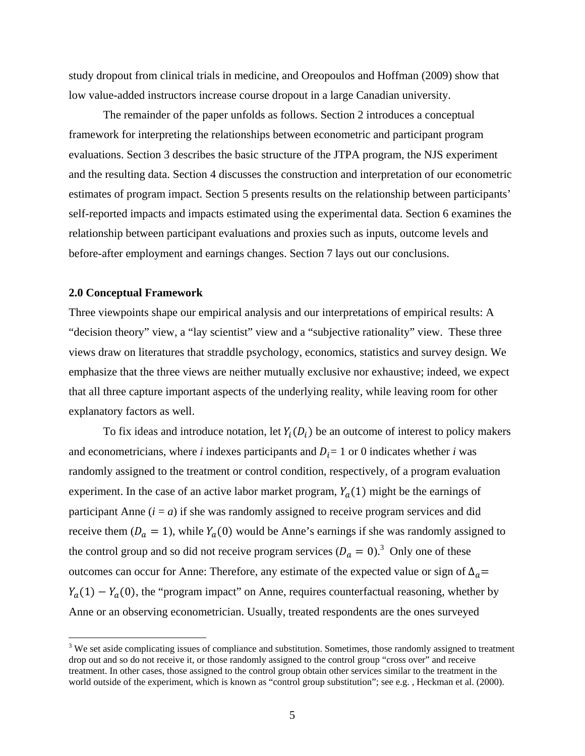study dropout from clinical trials in medicine, and Oreopoulos and Hoffman (2009) show that low value-added instructors increase course dropout in a large Canadian university.

 The remainder of the paper unfolds as follows. Section 2 introduces a conceptual framework for interpreting the relationships between econometric and participant program evaluations. Section 3 describes the basic structure of the JTPA program, the NJS experiment and the resulting data. Section 4 discusses the construction and interpretation of our econometric estimates of program impact. Section 5 presents results on the relationship between participants' self-reported impacts and impacts estimated using the experimental data. Section 6 examines the relationship between participant evaluations and proxies such as inputs, outcome levels and before-after employment and earnings changes. Section 7 lays out our conclusions.

#### **2.0 Conceptual Framework**

 $\overline{a}$ 

Three viewpoints shape our empirical analysis and our interpretations of empirical results: A "decision theory" view, a "lay scientist" view and a "subjective rationality" view. These three views draw on literatures that straddle psychology, economics, statistics and survey design. We emphasize that the three views are neither mutually exclusive nor exhaustive; indeed, we expect that all three capture important aspects of the underlying reality, while leaving room for other explanatory factors as well.

To fix ideas and introduce notation, let  $Y_i(D_i)$  be an outcome of interest to policy makers and econometricians, where *i* indexes participants and  $D_i = 1$  or 0 indicates whether *i* was randomly assigned to the treatment or control condition, respectively, of a program evaluation experiment. In the case of an active labor market program,  $Y_a(1)$  might be the earnings of participant Anne  $(i = a)$  if she was randomly assigned to receive program services and did receive them ( $D_a = 1$ ), while  $Y_a(0)$  would be Anne's earnings if she was randomly assigned to the control group and so did not receive program services  $(D_a = 0)^3$  Only one of these outcomes can occur for Anne: Therefore, any estimate of the expected value or sign of  $\Delta_q$ =  $Y_a(1) - Y_a(0)$ , the "program impact" on Anne, requires counterfactual reasoning, whether by Anne or an observing econometrician. Usually, treated respondents are the ones surveyed

 $3$  We set aside complicating issues of compliance and substitution. Sometimes, those randomly assigned to treatment drop out and so do not receive it, or those randomly assigned to the control group "cross over" and receive treatment. In other cases, those assigned to the control group obtain other services similar to the treatment in the world outside of the experiment, which is known as "control group substitution"; see e.g., Heckman et al. (2000).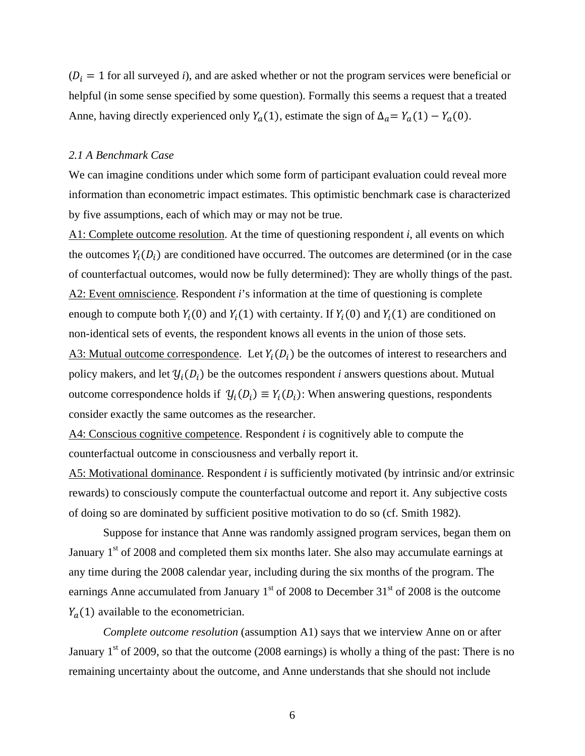$(D_i = 1$  for all surveyed *i*), and are asked whether or not the program services were beneficial or helpful (in some sense specified by some question). Formally this seems a request that a treated Anne, having directly experienced only  $Y_a(1)$ , estimate the sign of  $\Delta_a = Y_a(1) - Y_a(0)$ .

#### *2.1 A Benchmark Case*

We can imagine conditions under which some form of participant evaluation could reveal more information than econometric impact estimates. This optimistic benchmark case is characterized by five assumptions, each of which may or may not be true.

A1: Complete outcome resolution. At the time of questioning respondent *i*, all events on which the outcomes  $Y_i(D_i)$  are conditioned have occurred. The outcomes are determined (or in the case of counterfactual outcomes, would now be fully determined): They are wholly things of the past. A2: Event omniscience. Respondent *i*'s information at the time of questioning is complete enough to compute both  $Y_i(0)$  and  $Y_i(1)$  with certainty. If  $Y_i(0)$  and  $Y_i(1)$  are conditioned on non-identical sets of events, the respondent knows all events in the union of those sets. A3: Mutual outcome correspondence. Let  $Y_i(D_i)$  be the outcomes of interest to researchers and policy makers, and let  $\mathcal{Y}_i(D_i)$  be the outcomes respondent *i* answers questions about. Mutual outcome correspondence holds if  $\mathcal{Y}_i(D_i) \equiv Y_i(D_i)$ : When answering questions, respondents consider exactly the same outcomes as the researcher.

A4: Conscious cognitive competence. Respondent *i* is cognitively able to compute the counterfactual outcome in consciousness and verbally report it.

A5: Motivational dominance. Respondent *i* is sufficiently motivated (by intrinsic and/or extrinsic rewards) to consciously compute the counterfactual outcome and report it. Any subjective costs of doing so are dominated by sufficient positive motivation to do so (cf. Smith 1982).

 Suppose for instance that Anne was randomly assigned program services, began them on January  $1<sup>st</sup>$  of 2008 and completed them six months later. She also may accumulate earnings at any time during the 2008 calendar year, including during the six months of the program. The earnings Anne accumulated from January  $1<sup>st</sup>$  of 2008 to December 31 $<sup>st</sup>$  of 2008 is the outcome</sup>  $Y_a(1)$  available to the econometrician.

*Complete outcome resolution* (assumption A1) says that we interview Anne on or after January  $1<sup>st</sup>$  of 2009, so that the outcome (2008 earnings) is wholly a thing of the past: There is no remaining uncertainty about the outcome, and Anne understands that she should not include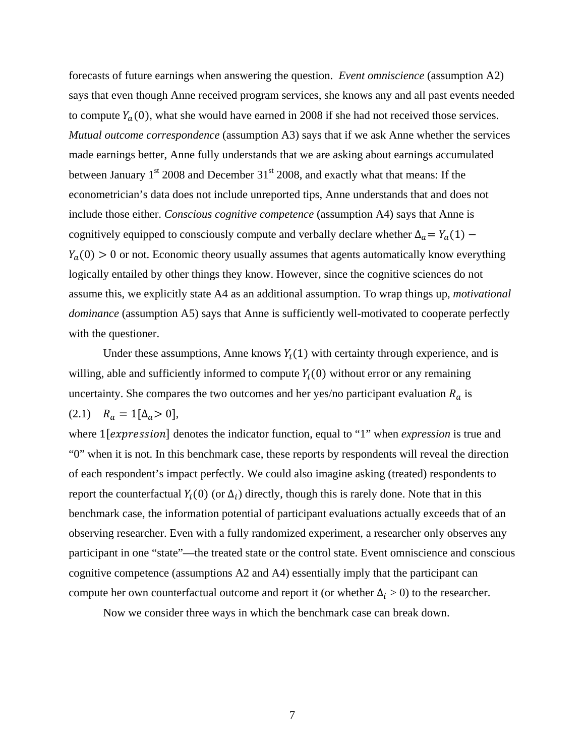forecasts of future earnings when answering the question. *Event omniscience* (assumption A2) says that even though Anne received program services, she knows any and all past events needed to compute  $Y_a(0)$ , what she would have earned in 2008 if she had not received those services. *Mutual outcome correspondence* (assumption A3) says that if we ask Anne whether the services made earnings better, Anne fully understands that we are asking about earnings accumulated between January  $1<sup>st</sup>$  2008 and December 31 $<sup>st</sup>$  2008, and exactly what that means: If the</sup> econometrician's data does not include unreported tips, Anne understands that and does not include those either. *Conscious cognitive competence* (assumption A4) says that Anne is cognitively equipped to consciously compute and verbally declare whether  $\Delta_a = Y_a(1)$  –  $Y_a(0) > 0$  or not. Economic theory usually assumes that agents automatically know everything logically entailed by other things they know. However, since the cognitive sciences do not assume this, we explicitly state A4 as an additional assumption. To wrap things up, *motivational dominance* (assumption A5) says that Anne is sufficiently well-motivated to cooperate perfectly with the questioner.

Under these assumptions, Anne knows  $Y_i(1)$  with certainty through experience, and is willing, able and sufficiently informed to compute  $Y_i(0)$  without error or any remaining uncertainty. She compares the two outcomes and her yes/no participant evaluation  $R_a$  is (2.1)  $R_a = 1[\Delta_a > 0],$ 

where 1[*expression*] denotes the indicator function, equal to "1" when *expression* is true and "0" when it is not. In this benchmark case, these reports by respondents will reveal the direction of each respondent's impact perfectly. We could also imagine asking (treated) respondents to report the counterfactual  $Y_i(0)$  (or  $\Delta_i$ ) directly, though this is rarely done. Note that in this benchmark case, the information potential of participant evaluations actually exceeds that of an observing researcher. Even with a fully randomized experiment, a researcher only observes any participant in one "state"—the treated state or the control state. Event omniscience and conscious cognitive competence (assumptions A2 and A4) essentially imply that the participant can compute her own counterfactual outcome and report it (or whether  $\Delta_i > 0$ ) to the researcher.

Now we consider three ways in which the benchmark case can break down.

7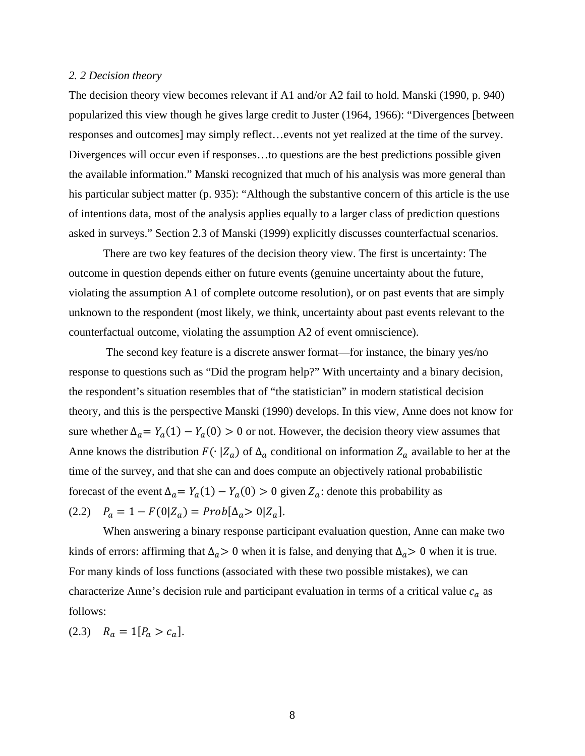#### *2. 2 Decision theory*

The decision theory view becomes relevant if A1 and/or A2 fail to hold. Manski (1990, p. 940) popularized this view though he gives large credit to Juster (1964, 1966): "Divergences [between responses and outcomes] may simply reflect…events not yet realized at the time of the survey. Divergences will occur even if responses…to questions are the best predictions possible given the available information." Manski recognized that much of his analysis was more general than his particular subject matter (p. 935): "Although the substantive concern of this article is the use of intentions data, most of the analysis applies equally to a larger class of prediction questions asked in surveys." Section 2.3 of Manski (1999) explicitly discusses counterfactual scenarios.

 There are two key features of the decision theory view. The first is uncertainty: The outcome in question depends either on future events (genuine uncertainty about the future, violating the assumption A1 of complete outcome resolution), or on past events that are simply unknown to the respondent (most likely, we think, uncertainty about past events relevant to the counterfactual outcome, violating the assumption A2 of event omniscience).

 The second key feature is a discrete answer format—for instance, the binary yes/no response to questions such as "Did the program help?" With uncertainty and a binary decision, the respondent's situation resembles that of "the statistician" in modern statistical decision theory, and this is the perspective Manski (1990) develops. In this view, Anne does not know for sure whether  $\Delta_a = Y_a(1) - Y_a(0) > 0$  or not. However, the decision theory view assumes that Anne knows the distribution  $F(\cdot | Z_a)$  of  $\Delta_a$  conditional on information  $Z_a$  available to her at the time of the survey, and that she can and does compute an objectively rational probabilistic forecast of the event  $\Delta_a = Y_a(1) - Y_a(0) > 0$  given  $Z_a$ : denote this probability as (2.2)  $P_a = 1 - F(0|Z_a) = Prob[\Delta_a > 0|Z_a].$ 

 When answering a binary response participant evaluation question, Anne can make two kinds of errors: affirming that  $\Delta_a > 0$  when it is false, and denying that  $\Delta_a > 0$  when it is true. For many kinds of loss functions (associated with these two possible mistakes), we can characterize Anne's decision rule and participant evaluation in terms of a critical value  $c_a$  as follows:

(2.3)  $R_a = 1[P_a > c_a].$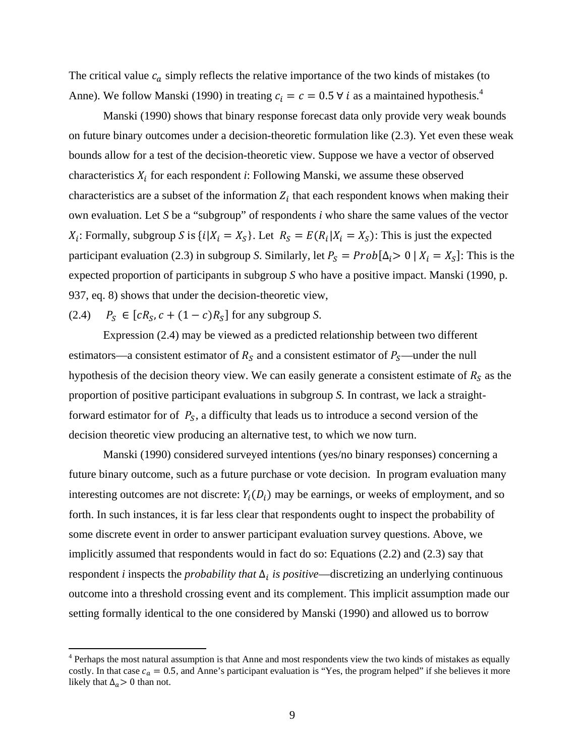The critical value  $c_a$  simply reflects the relative importance of the two kinds of mistakes (to Anne). We follow Manski (1990) in treating  $c_i = c = 0.5 \forall i$  as a maintained hypothesis.<sup>4</sup>

Manski (1990) shows that binary response forecast data only provide very weak bounds on future binary outcomes under a decision-theoretic formulation like (2.3). Yet even these weak bounds allow for a test of the decision-theoretic view. Suppose we have a vector of observed characteristics  $X_i$  for each respondent *i*: Following Manski, we assume these observed characteristics are a subset of the information  $Z_i$  that each respondent knows when making their own evaluation. Let *S* be a "subgroup" of respondents *i* who share the same values of the vector  $X_i$ : Formally, subgroup S is  $\{i | X_i = X_s\}$ . Let  $R_s = E(R_i | X_i = X_s)$ : This is just the expected participant evaluation (2.3) in subgroup *S*. Similarly, let  $P_S = Prob[\Delta_i > 0 | X_i = X_S]$ : This is the expected proportion of participants in subgroup *S* who have a positive impact. Manski (1990, p. 937, eq. 8) shows that under the decision-theoretic view,

(2.4)  $P_S \in [cR_S, c + (1-c)R_S]$  for any subgroup *S*.

 $\overline{a}$ 

 Expression (2.4) may be viewed as a predicted relationship between two different estimators—a consistent estimator of  $R_s$  and a consistent estimator of  $P_s$ —under the null hypothesis of the decision theory view. We can easily generate a consistent estimate of  $R_S$  as the proportion of positive participant evaluations in subgroup *S.* In contrast, we lack a straightforward estimator for of  $P_s$ , a difficulty that leads us to introduce a second version of the decision theoretic view producing an alternative test, to which we now turn.

Manski (1990) considered surveyed intentions (yes/no binary responses) concerning a future binary outcome, such as a future purchase or vote decision. In program evaluation many interesting outcomes are not discrete:  $Y_i(D_i)$  may be earnings, or weeks of employment, and so forth. In such instances, it is far less clear that respondents ought to inspect the probability of some discrete event in order to answer participant evaluation survey questions. Above, we implicitly assumed that respondents would in fact do so: Equations (2.2) and (2.3) say that respondent *i* inspects the *probability that*  $\Delta$ <sup>*i*</sup> *is positive*—discretizing an underlying continuous outcome into a threshold crossing event and its complement. This implicit assumption made our setting formally identical to the one considered by Manski (1990) and allowed us to borrow

<sup>&</sup>lt;sup>4</sup> Perhaps the most natural assumption is that Anne and most respondents view the two kinds of mistakes as equally costly. In that case  $c_a = 0.5$ , and Anne's participant evaluation is "Yes, the program helped" if she believes it more likely that  $\Delta_a > 0$  than not.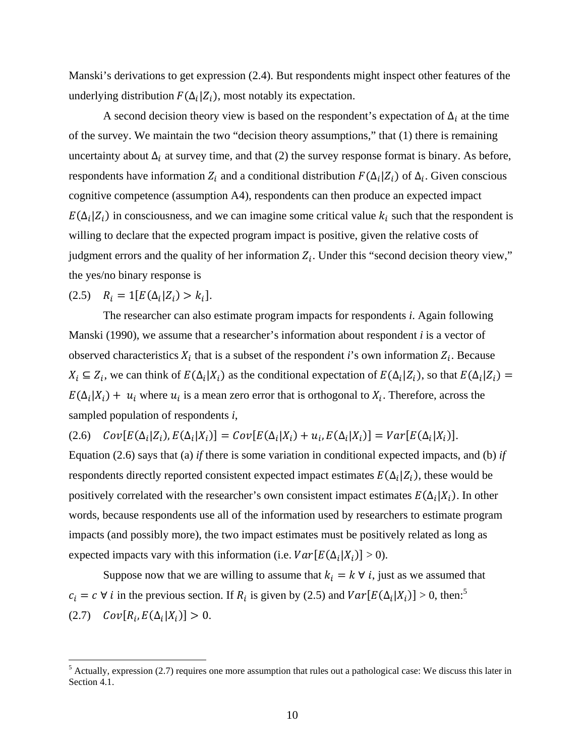Manski's derivations to get expression (2.4). But respondents might inspect other features of the underlying distribution  $F(\Delta_i|Z_i)$ , most notably its expectation.

A second decision theory view is based on the respondent's expectation of  $\Delta_i$  at the time of the survey. We maintain the two "decision theory assumptions," that (1) there is remaining uncertainty about  $\Delta_i$  at survey time, and that (2) the survey response format is binary. As before, respondents have information  $Z_i$  and a conditional distribution  $F(\Delta_i|Z_i)$  of  $\Delta_i$ . Given conscious cognitive competence (assumption A4), respondents can then produce an expected impact  $E(\Delta_i|Z_i)$  in consciousness, and we can imagine some critical value  $k_i$  such that the respondent is willing to declare that the expected program impact is positive, given the relative costs of judgment errors and the quality of her information  $Z_i$ . Under this "second decision theory view," the yes/no binary response is

$$
(2.5) \quad R_i = 1[E(\Delta_i | Z_i) > k_i].
$$

 The researcher can also estimate program impacts for respondents *i*. Again following Manski (1990), we assume that a researcher's information about respondent *i* is a vector of observed characteristics  $X_i$  that is a subset of the respondent *i*'s own information  $Z_i$ . Because  $X_i \subseteq Z_i$ , we can think of  $E(\Delta_i|X_i)$  as the conditional expectation of  $E(\Delta_i|Z_i)$ , so that  $E(\Delta_i|Z_i)$  $E(\Delta_i|X_i) + u_i$  where  $u_i$  is a mean zero error that is orthogonal to  $X_i$ . Therefore, across the sampled population of respondents *i*,

(2.6)  $Cov[E(\Delta_i|X_i)] = Cov[E(\Delta_i|X_i) + u_i, E(\Delta_i|X_i)] = Var[E(\Delta_i|X_i)].$ 

Equation (2.6) says that (a) *if* there is some variation in conditional expected impacts, and (b) *if* respondents directly reported consistent expected impact estimates  $E(\Delta_i|Z_i)$ , these would be positively correlated with the researcher's own consistent impact estimates  $E(\Delta_i|X_i)$ . In other words, because respondents use all of the information used by researchers to estimate program impacts (and possibly more), the two impact estimates must be positively related as long as expected impacts vary with this information (i.e.  $Var[E(\Delta_i|X_i)] > 0$ ).

Suppose now that we are willing to assume that  $k_i = k \forall i$ , just as we assumed that  $c_i = c \forall i$  in the previous section. If  $R_i$  is given by (2.5) and  $Var[E(\Delta_i|X_i)] > 0$ , then:<sup>5</sup> (2.7)  $Cov[R_i, E(\Delta_i|X_i)] > 0.$ 

<sup>&</sup>lt;sup>5</sup> Actually, expression (2.7) requires one more assumption that rules out a pathological case: We discuss this later in Section 4.1.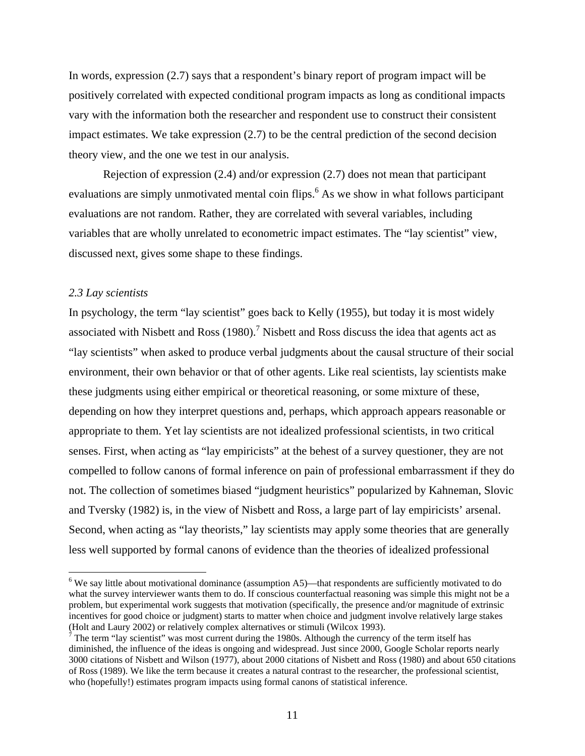In words, expression (2.7) says that a respondent's binary report of program impact will be positively correlated with expected conditional program impacts as long as conditional impacts vary with the information both the researcher and respondent use to construct their consistent impact estimates. We take expression (2.7) to be the central prediction of the second decision theory view, and the one we test in our analysis.

 Rejection of expression (2.4) and/or expression (2.7) does not mean that participant evaluations are simply unmotivated mental coin flips.<sup>6</sup> As we show in what follows participant evaluations are not random. Rather, they are correlated with several variables, including variables that are wholly unrelated to econometric impact estimates. The "lay scientist" view, discussed next, gives some shape to these findings.

#### *2.3 Lay scientists*

 $\overline{a}$ 

In psychology, the term "lay scientist" goes back to Kelly (1955), but today it is most widely associated with Nisbett and Ross  $(1980)$ .<sup>7</sup> Nisbett and Ross discuss the idea that agents act as "lay scientists" when asked to produce verbal judgments about the causal structure of their social environment, their own behavior or that of other agents. Like real scientists, lay scientists make these judgments using either empirical or theoretical reasoning, or some mixture of these, depending on how they interpret questions and, perhaps, which approach appears reasonable or appropriate to them. Yet lay scientists are not idealized professional scientists, in two critical senses. First, when acting as "lay empiricists" at the behest of a survey questioner, they are not compelled to follow canons of formal inference on pain of professional embarrassment if they do not. The collection of sometimes biased "judgment heuristics" popularized by Kahneman, Slovic and Tversky (1982) is, in the view of Nisbett and Ross, a large part of lay empiricists' arsenal. Second, when acting as "lay theorists," lay scientists may apply some theories that are generally less well supported by formal canons of evidence than the theories of idealized professional

 $6$  We say little about motivational dominance (assumption A5)—that respondents are sufficiently motivated to do what the survey interviewer wants them to do. If conscious counterfactual reasoning was simple this might not be a problem, but experimental work suggests that motivation (specifically, the presence and/or magnitude of extrinsic incentives for good choice or judgment) starts to matter when choice and judgment involve relatively large stakes (Holt and Laury 2002) or relatively complex alternatives or stimuli (Wilcox 1993).

 $<sup>7</sup>$  The term "lay scientist" was most current during the 1980s. Although the currency of the term itself has</sup> diminished, the influence of the ideas is ongoing and widespread. Just since 2000, Google Scholar reports nearly 3000 citations of Nisbett and Wilson (1977), about 2000 citations of Nisbett and Ross (1980) and about 650 citations of Ross (1989). We like the term because it creates a natural contrast to the researcher, the professional scientist, who (hopefully!) estimates program impacts using formal canons of statistical inference.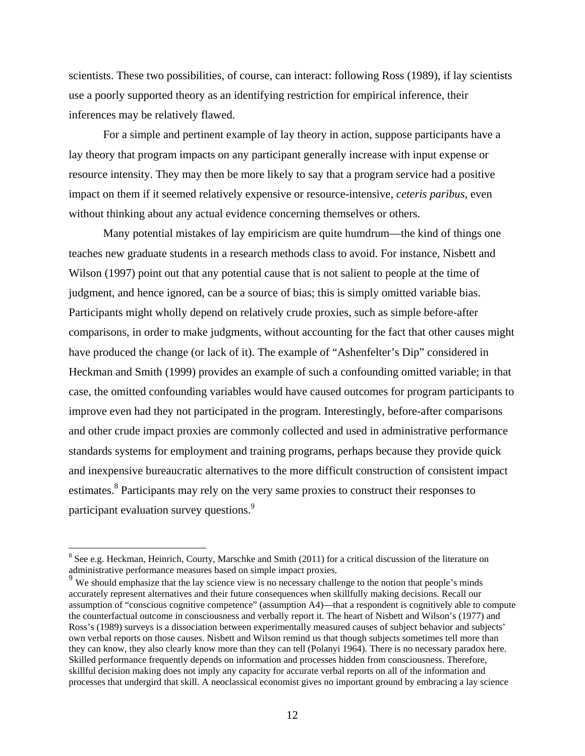scientists. These two possibilities, of course, can interact: following Ross (1989), if lay scientists use a poorly supported theory as an identifying restriction for empirical inference, their inferences may be relatively flawed.

For a simple and pertinent example of lay theory in action, suppose participants have a lay theory that program impacts on any participant generally increase with input expense or resource intensity. They may then be more likely to say that a program service had a positive impact on them if it seemed relatively expensive or resource-intensive, *ceteris paribus*, even without thinking about any actual evidence concerning themselves or others.

 Many potential mistakes of lay empiricism are quite humdrum—the kind of things one teaches new graduate students in a research methods class to avoid. For instance, Nisbett and Wilson (1997) point out that any potential cause that is not salient to people at the time of judgment, and hence ignored, can be a source of bias; this is simply omitted variable bias. Participants might wholly depend on relatively crude proxies, such as simple before-after comparisons, in order to make judgments, without accounting for the fact that other causes might have produced the change (or lack of it). The example of "Ashenfelter's Dip" considered in Heckman and Smith (1999) provides an example of such a confounding omitted variable; in that case, the omitted confounding variables would have caused outcomes for program participants to improve even had they not participated in the program. Interestingly, before-after comparisons and other crude impact proxies are commonly collected and used in administrative performance standards systems for employment and training programs, perhaps because they provide quick and inexpensive bureaucratic alternatives to the more difficult construction of consistent impact estimates.<sup>8</sup> Participants may rely on the very same proxies to construct their responses to participant evaluation survey questions.<sup>9</sup>

 $\overline{a}$ 

 $8$  See e.g. Heckman, Heinrich, Courty, Marschke and Smith (2011) for a critical discussion of the literature on administrative performance measures based on simple impact proxies.

<sup>&</sup>lt;sup>9</sup> We should emphasize that the lay science view is no necessary challenge to the notion that people's minds accurately represent alternatives and their future consequences when skillfully making decisions. Recall our assumption of "conscious cognitive competence" (assumption A4)—that a respondent is cognitively able to compute the counterfactual outcome in consciousness and verbally report it. The heart of Nisbett and Wilson's (1977) and Ross's (1989) surveys is a dissociation between experimentally measured causes of subject behavior and subjects' own verbal reports on those causes. Nisbett and Wilson remind us that though subjects sometimes tell more than they can know, they also clearly know more than they can tell (Polanyi 1964). There is no necessary paradox here. Skilled performance frequently depends on information and processes hidden from consciousness. Therefore, skillful decision making does not imply any capacity for accurate verbal reports on all of the information and processes that undergird that skill. A neoclassical economist gives no important ground by embracing a lay science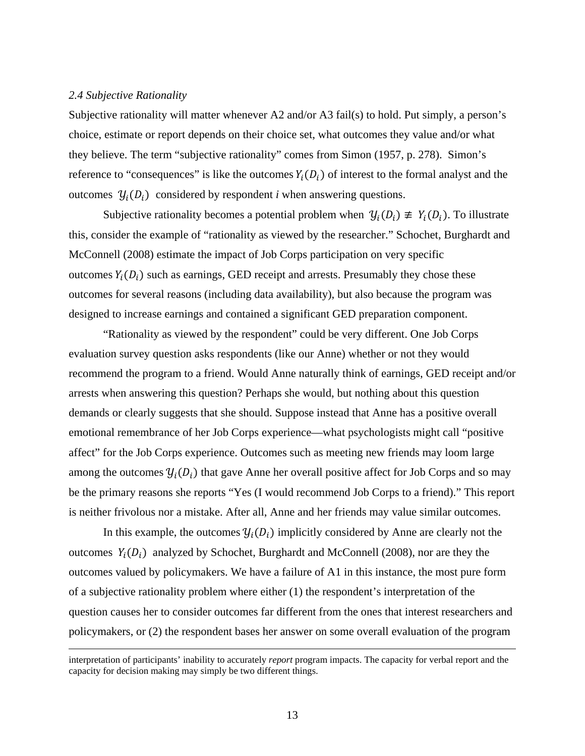#### *2.4 Subjective Rationality*

Subjective rationality will matter whenever A2 and/or A3 fail(s) to hold. Put simply, a person's choice, estimate or report depends on their choice set, what outcomes they value and/or what they believe. The term "subjective rationality" comes from Simon (1957, p. 278). Simon's reference to "consequences" is like the outcomes  $Y_i(D_i)$  of interest to the formal analyst and the outcomes  $\mathcal{Y}_i(D_i)$  considered by respondent *i* when answering questions.

Subjective rationality becomes a potential problem when  $\mathcal{Y}_i(D_i) \neq Y_i(D_i)$ . To illustrate this, consider the example of "rationality as viewed by the researcher." Schochet, Burghardt and McConnell (2008) estimate the impact of Job Corps participation on very specific outcomes  $Y_i(D_i)$  such as earnings, GED receipt and arrests. Presumably they chose these outcomes for several reasons (including data availability), but also because the program was designed to increase earnings and contained a significant GED preparation component.

 "Rationality as viewed by the respondent" could be very different. One Job Corps evaluation survey question asks respondents (like our Anne) whether or not they would recommend the program to a friend. Would Anne naturally think of earnings, GED receipt and/or arrests when answering this question? Perhaps she would, but nothing about this question demands or clearly suggests that she should. Suppose instead that Anne has a positive overall emotional remembrance of her Job Corps experience—what psychologists might call "positive affect" for the Job Corps experience. Outcomes such as meeting new friends may loom large among the outcomes  $\mathcal{Y}_i(D_i)$  that gave Anne her overall positive affect for Job Corps and so may be the primary reasons she reports "Yes (I would recommend Job Corps to a friend)." This report is neither frivolous nor a mistake. After all, Anne and her friends may value similar outcomes.

In this example, the outcomes  $\mathcal{Y}_i(D_i)$  implicitly considered by Anne are clearly not the outcomes  $Y_i(D_i)$  analyzed by Schochet, Burghardt and McConnell (2008), nor are they the outcomes valued by policymakers. We have a failure of A1 in this instance, the most pure form of a subjective rationality problem where either (1) the respondent's interpretation of the question causes her to consider outcomes far different from the ones that interest researchers and policymakers, or (2) the respondent bases her answer on some overall evaluation of the program

interpretation of participants' inability to accurately *report* program impacts. The capacity for verbal report and the capacity for decision making may simply be two different things.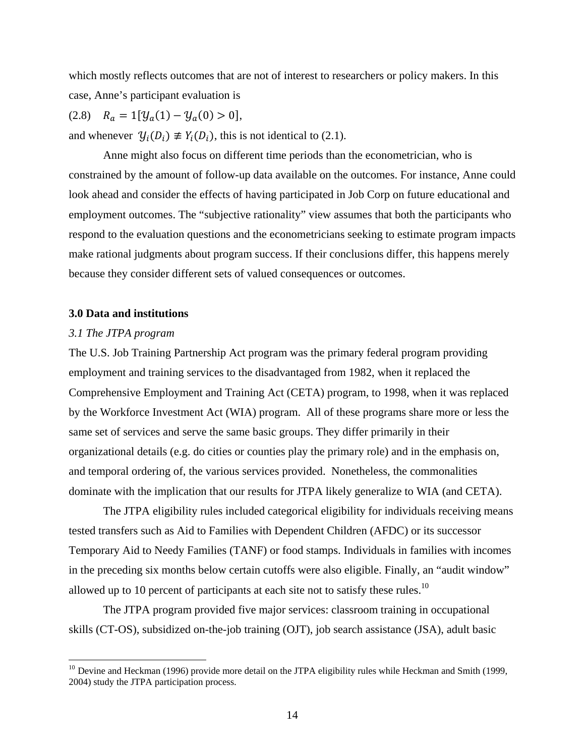which mostly reflects outcomes that are not of interest to researchers or policy makers. In this case, Anne's participant evaluation is

 $(2.8)$   $R_a = 1[y_a(1) - y_a(0) > 0],$ and whenever  $\mathcal{Y}_i(D_i) \neq Y_i(D_i)$ , this is not identical to (2.1).

 Anne might also focus on different time periods than the econometrician, who is constrained by the amount of follow-up data available on the outcomes. For instance, Anne could look ahead and consider the effects of having participated in Job Corp on future educational and employment outcomes. The "subjective rationality" view assumes that both the participants who respond to the evaluation questions and the econometricians seeking to estimate program impacts make rational judgments about program success. If their conclusions differ, this happens merely because they consider different sets of valued consequences or outcomes.

#### **3.0 Data and institutions**

#### *3.1 The JTPA program*

 $\overline{a}$ 

The U.S. Job Training Partnership Act program was the primary federal program providing employment and training services to the disadvantaged from 1982, when it replaced the Comprehensive Employment and Training Act (CETA) program, to 1998, when it was replaced by the Workforce Investment Act (WIA) program. All of these programs share more or less the same set of services and serve the same basic groups. They differ primarily in their organizational details (e.g. do cities or counties play the primary role) and in the emphasis on, and temporal ordering of, the various services provided. Nonetheless, the commonalities dominate with the implication that our results for JTPA likely generalize to WIA (and CETA).

The JTPA eligibility rules included categorical eligibility for individuals receiving means tested transfers such as Aid to Families with Dependent Children (AFDC) or its successor Temporary Aid to Needy Families (TANF) or food stamps. Individuals in families with incomes in the preceding six months below certain cutoffs were also eligible. Finally, an "audit window" allowed up to 10 percent of participants at each site not to satisfy these rules.<sup>10</sup>

The JTPA program provided five major services: classroom training in occupational skills (CT-OS), subsidized on-the-job training (OJT), job search assistance (JSA), adult basic

<sup>&</sup>lt;sup>10</sup> Devine and Heckman (1996) provide more detail on the JTPA eligibility rules while Heckman and Smith (1999, 2004) study the JTPA participation process.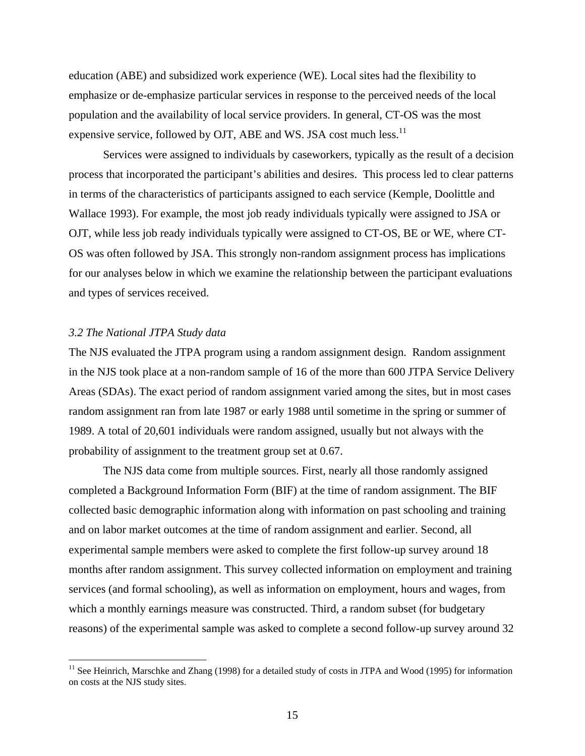education (ABE) and subsidized work experience (WE). Local sites had the flexibility to emphasize or de-emphasize particular services in response to the perceived needs of the local population and the availability of local service providers. In general, CT-OS was the most expensive service, followed by OJT, ABE and WS. JSA cost much less.<sup>11</sup>

 Services were assigned to individuals by caseworkers, typically as the result of a decision process that incorporated the participant's abilities and desires. This process led to clear patterns in terms of the characteristics of participants assigned to each service (Kemple, Doolittle and Wallace 1993). For example, the most job ready individuals typically were assigned to JSA or OJT, while less job ready individuals typically were assigned to CT-OS, BE or WE, where CT-OS was often followed by JSA. This strongly non-random assignment process has implications for our analyses below in which we examine the relationship between the participant evaluations and types of services received.

#### *3.2 The National JTPA Study data*

 $\overline{a}$ 

The NJS evaluated the JTPA program using a random assignment design. Random assignment in the NJS took place at a non-random sample of 16 of the more than 600 JTPA Service Delivery Areas (SDAs). The exact period of random assignment varied among the sites, but in most cases random assignment ran from late 1987 or early 1988 until sometime in the spring or summer of 1989. A total of 20,601 individuals were random assigned, usually but not always with the probability of assignment to the treatment group set at 0.67.

 The NJS data come from multiple sources. First, nearly all those randomly assigned completed a Background Information Form (BIF) at the time of random assignment. The BIF collected basic demographic information along with information on past schooling and training and on labor market outcomes at the time of random assignment and earlier. Second, all experimental sample members were asked to complete the first follow-up survey around 18 months after random assignment. This survey collected information on employment and training services (and formal schooling), as well as information on employment, hours and wages, from which a monthly earnings measure was constructed. Third, a random subset (for budgetary reasons) of the experimental sample was asked to complete a second follow-up survey around 32

<sup>&</sup>lt;sup>11</sup> See Heinrich, Marschke and Zhang (1998) for a detailed study of costs in JTPA and Wood (1995) for information on costs at the NJS study sites.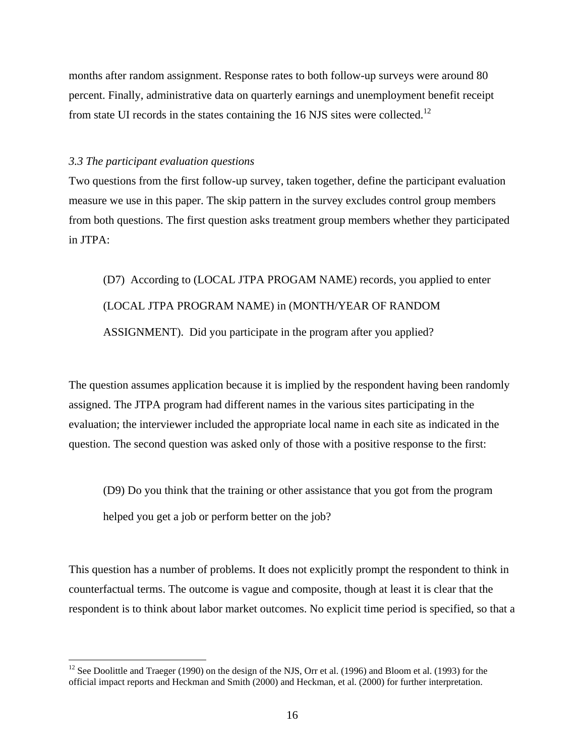months after random assignment. Response rates to both follow-up surveys were around 80 percent. Finally, administrative data on quarterly earnings and unemployment benefit receipt from state UI records in the states containing the 16 NJS sites were collected.<sup>12</sup>

#### *3.3 The participant evaluation questions*

1

Two questions from the first follow-up survey, taken together, define the participant evaluation measure we use in this paper. The skip pattern in the survey excludes control group members from both questions. The first question asks treatment group members whether they participated in JTPA:

(D7) According to (LOCAL JTPA PROGAM NAME) records, you applied to enter (LOCAL JTPA PROGRAM NAME) in (MONTH/YEAR OF RANDOM ASSIGNMENT). Did you participate in the program after you applied?

The question assumes application because it is implied by the respondent having been randomly assigned. The JTPA program had different names in the various sites participating in the evaluation; the interviewer included the appropriate local name in each site as indicated in the question. The second question was asked only of those with a positive response to the first:

(D9) Do you think that the training or other assistance that you got from the program helped you get a job or perform better on the job?

This question has a number of problems. It does not explicitly prompt the respondent to think in counterfactual terms. The outcome is vague and composite, though at least it is clear that the respondent is to think about labor market outcomes. No explicit time period is specified, so that a

<sup>&</sup>lt;sup>12</sup> See Doolittle and Traeger (1990) on the design of the NJS, Orr et al. (1996) and Bloom et al. (1993) for the official impact reports and Heckman and Smith (2000) and Heckman, et al. (2000) for further interpretation.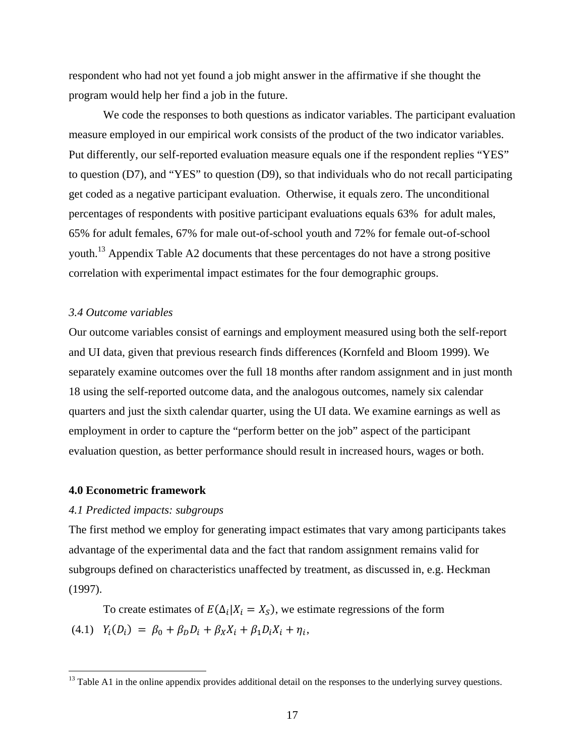respondent who had not yet found a job might answer in the affirmative if she thought the program would help her find a job in the future.

 We code the responses to both questions as indicator variables. The participant evaluation measure employed in our empirical work consists of the product of the two indicator variables. Put differently, our self-reported evaluation measure equals one if the respondent replies "YES" to question (D7), and "YES" to question (D9), so that individuals who do not recall participating get coded as a negative participant evaluation. Otherwise, it equals zero. The unconditional percentages of respondents with positive participant evaluations equals 63% for adult males, 65% for adult females, 67% for male out-of-school youth and 72% for female out-of-school youth.<sup>13</sup> Appendix Table A2 documents that these percentages do not have a strong positive correlation with experimental impact estimates for the four demographic groups.

#### *3.4 Outcome variables*

Our outcome variables consist of earnings and employment measured using both the self-report and UI data, given that previous research finds differences (Kornfeld and Bloom 1999). We separately examine outcomes over the full 18 months after random assignment and in just month 18 using the self-reported outcome data, and the analogous outcomes, namely six calendar quarters and just the sixth calendar quarter, using the UI data. We examine earnings as well as employment in order to capture the "perform better on the job" aspect of the participant evaluation question, as better performance should result in increased hours, wages or both.

#### **4.0 Econometric framework**

 $\overline{a}$ 

#### *4.1 Predicted impacts: subgroups*

The first method we employ for generating impact estimates that vary among participants takes advantage of the experimental data and the fact that random assignment remains valid for subgroups defined on characteristics unaffected by treatment, as discussed in, e.g. Heckman (1997).

To create estimates of  $E(\Delta_i | X_i = X_s)$ , we estimate regressions of the form (4.1)  $Y_i(D_i) = \beta_0 + \beta_0 D_i + \beta_X X_i + \beta_1 D_i X_i + \eta_i$ 

 $<sup>13</sup>$  Table A1 in the online appendix provides additional detail on the responses to the underlying survey questions.</sup>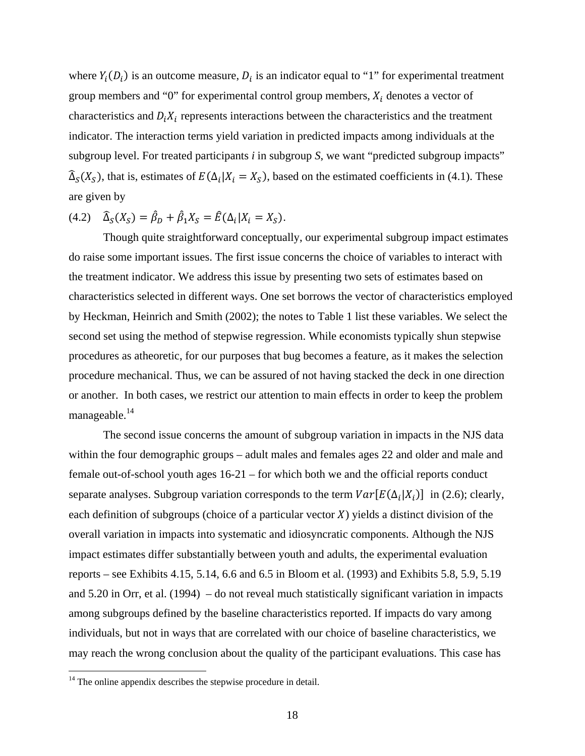where  $Y_i(D_i)$  is an outcome measure,  $D_i$  is an indicator equal to "1" for experimental treatment group members and "0" for experimental control group members,  $X_i$  denotes a vector of characteristics and  $D_i X_i$  represents interactions between the characteristics and the treatment indicator. The interaction terms yield variation in predicted impacts among individuals at the subgroup level. For treated participants *i* in subgroup *S*, we want "predicted subgroup impacts"  $\widehat{\Delta}_{S}(X_{S})$ , that is, estimates of  $E(\Delta_{i}|X_{i}=X_{S})$ , based on the estimated coefficients in (4.1). These are given by

$$
(4.2) \quad \widehat{\Delta}_S(X_S) = \widehat{\beta}_D + \widehat{\beta}_1 X_S = \widehat{E}(\Delta_i | X_i = X_S).
$$

 Though quite straightforward conceptually, our experimental subgroup impact estimates do raise some important issues. The first issue concerns the choice of variables to interact with the treatment indicator. We address this issue by presenting two sets of estimates based on characteristics selected in different ways. One set borrows the vector of characteristics employed by Heckman, Heinrich and Smith (2002); the notes to Table 1 list these variables. We select the second set using the method of stepwise regression. While economists typically shun stepwise procedures as atheoretic, for our purposes that bug becomes a feature, as it makes the selection procedure mechanical. Thus, we can be assured of not having stacked the deck in one direction or another. In both cases, we restrict our attention to main effects in order to keep the problem manageable.<sup>14</sup>

 The second issue concerns the amount of subgroup variation in impacts in the NJS data within the four demographic groups – adult males and females ages 22 and older and male and female out-of-school youth ages 16-21 – for which both we and the official reports conduct separate analyses. Subgroup variation corresponds to the term  $Var[E(\Delta_i|X_i)]$  in (2.6); clearly, each definition of subgroups (choice of a particular vector  $X$ ) yields a distinct division of the overall variation in impacts into systematic and idiosyncratic components. Although the NJS impact estimates differ substantially between youth and adults, the experimental evaluation reports – see Exhibits 4.15, 5.14, 6.6 and 6.5 in Bloom et al. (1993) and Exhibits 5.8, 5.9, 5.19 and 5.20 in Orr, et al. (1994) – do not reveal much statistically significant variation in impacts among subgroups defined by the baseline characteristics reported. If impacts do vary among individuals, but not in ways that are correlated with our choice of baseline characteristics, we may reach the wrong conclusion about the quality of the participant evaluations. This case has

<u>.</u>

 $14$  The online appendix describes the stepwise procedure in detail.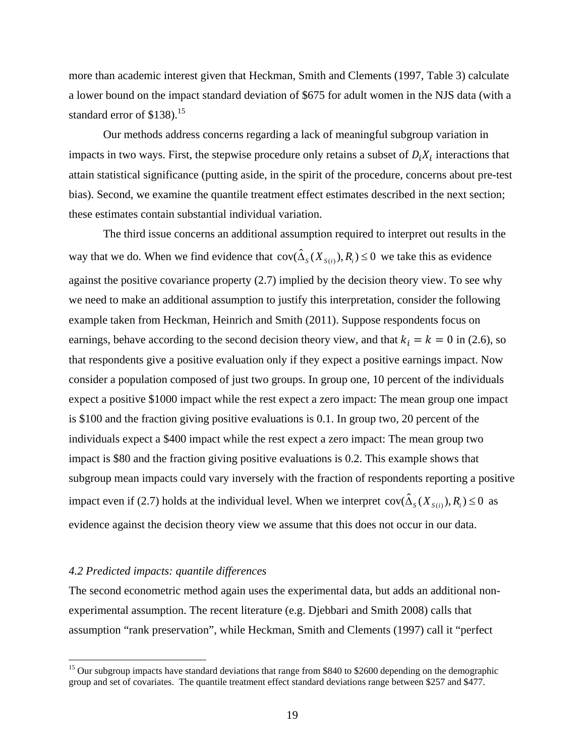more than academic interest given that Heckman, Smith and Clements (1997, Table 3) calculate a lower bound on the impact standard deviation of \$675 for adult women in the NJS data (with a standard error of  $$138$ ).<sup>15</sup>

Our methods address concerns regarding a lack of meaningful subgroup variation in impacts in two ways. First, the stepwise procedure only retains a subset of  $D_i X_i$  interactions that attain statistical significance (putting aside, in the spirit of the procedure, concerns about pre-test bias). Second, we examine the quantile treatment effect estimates described in the next section; these estimates contain substantial individual variation.

The third issue concerns an additional assumption required to interpret out results in the way that we do. When we find evidence that  $cov(\hat{\Delta}_s(X_{s(i)}), R_i) \leq 0$  we take this as evidence against the positive covariance property (2.7) implied by the decision theory view. To see why we need to make an additional assumption to justify this interpretation, consider the following example taken from Heckman, Heinrich and Smith (2011). Suppose respondents focus on earnings, behave according to the second decision theory view, and that  $k_i = k = 0$  in (2.6), so that respondents give a positive evaluation only if they expect a positive earnings impact. Now consider a population composed of just two groups. In group one, 10 percent of the individuals expect a positive \$1000 impact while the rest expect a zero impact: The mean group one impact is \$100 and the fraction giving positive evaluations is 0.1. In group two, 20 percent of the individuals expect a \$400 impact while the rest expect a zero impact: The mean group two impact is \$80 and the fraction giving positive evaluations is 0.2. This example shows that subgroup mean impacts could vary inversely with the fraction of respondents reporting a positive impact even if (2.7) holds at the individual level. When we interpret  $cov(\hat{\Delta}_s(X_{s(i)}), R_i) \le 0$  as evidence against the decision theory view we assume that this does not occur in our data.

#### *4.2 Predicted impacts: quantile differences*

 $\overline{a}$ 

The second econometric method again uses the experimental data, but adds an additional nonexperimental assumption. The recent literature (e.g. Djebbari and Smith 2008) calls that assumption "rank preservation", while Heckman, Smith and Clements (1997) call it "perfect

<sup>&</sup>lt;sup>15</sup> Our subgroup impacts have standard deviations that range from \$840 to \$2600 depending on the demographic group and set of covariates. The quantile treatment effect standard deviations range between \$257 and \$477.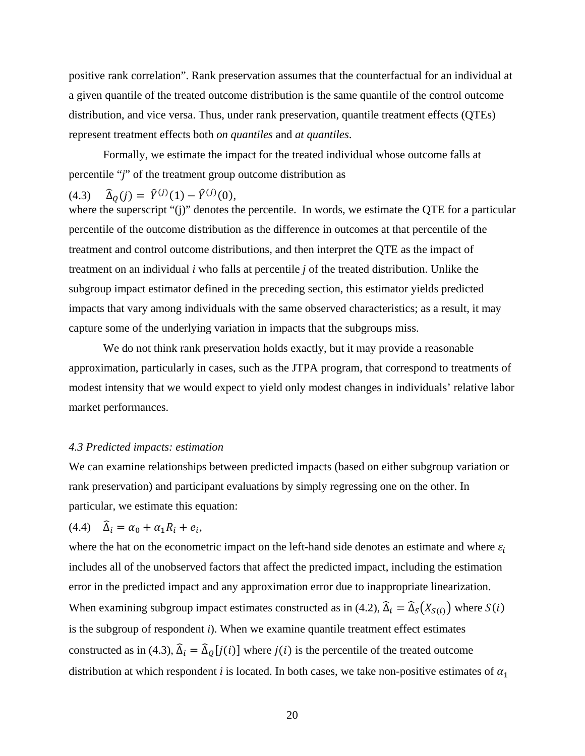positive rank correlation". Rank preservation assumes that the counterfactual for an individual at a given quantile of the treated outcome distribution is the same quantile of the control outcome distribution, and vice versa. Thus, under rank preservation, quantile treatment effects (QTEs) represent treatment effects both *on quantiles* and *at quantiles*.

Formally, we estimate the impact for the treated individual whose outcome falls at percentile "*j*" of the treatment group outcome distribution as

# (4.3)  $\hat{\Delta}_Q(j) = \hat{Y}^{(j)}(1) - \hat{Y}^{(j)}(0),$

where the superscript "(j)" denotes the percentile. In words, we estimate the QTE for a particular percentile of the outcome distribution as the difference in outcomes at that percentile of the treatment and control outcome distributions, and then interpret the QTE as the impact of treatment on an individual *i* who falls at percentile *j* of the treated distribution. Unlike the subgroup impact estimator defined in the preceding section, this estimator yields predicted impacts that vary among individuals with the same observed characteristics; as a result, it may capture some of the underlying variation in impacts that the subgroups miss.

We do not think rank preservation holds exactly, but it may provide a reasonable approximation, particularly in cases, such as the JTPA program, that correspond to treatments of modest intensity that we would expect to yield only modest changes in individuals' relative labor market performances.

#### *4.3 Predicted impacts: estimation*

We can examine relationships between predicted impacts (based on either subgroup variation or rank preservation) and participant evaluations by simply regressing one on the other. In particular, we estimate this equation:

$$
(4.4) \quad \widehat{\Delta}_i = \alpha_0 + \alpha_1 R_i + e_i,
$$

where the hat on the econometric impact on the left-hand side denotes an estimate and where  $\varepsilon_i$ includes all of the unobserved factors that affect the predicted impact, including the estimation error in the predicted impact and any approximation error due to inappropriate linearization. When examining subgroup impact estimates constructed as in (4.2),  $\hat{\Delta}_i = \hat{\Delta}_s(X_{S(i)})$  where  $S(i)$ is the subgroup of respondent *i*). When we examine quantile treatment effect estimates constructed as in (4.3),  $\hat{\Delta}_i = \hat{\Delta}_0[j(i)]$  where  $j(i)$  is the percentile of the treated outcome distribution at which respondent *i* is located. In both cases, we take non-positive estimates of  $\alpha_1$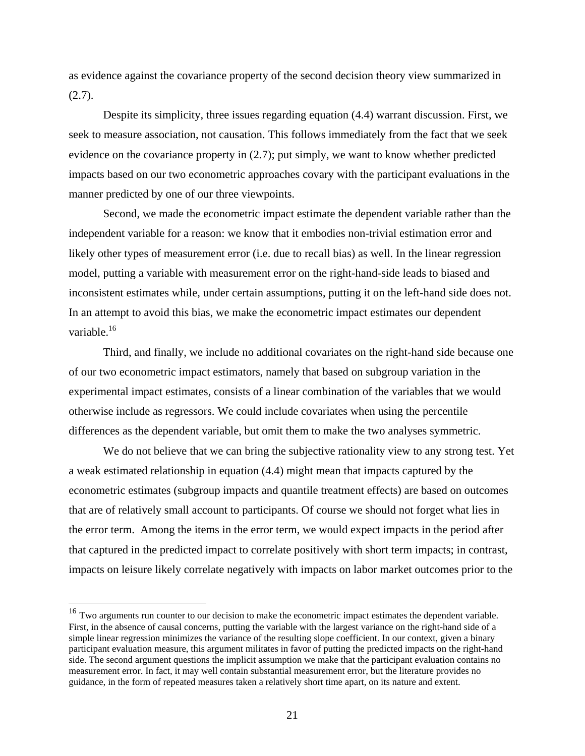as evidence against the covariance property of the second decision theory view summarized in  $(2.7).$ 

 Despite its simplicity, three issues regarding equation (4.4) warrant discussion. First, we seek to measure association, not causation. This follows immediately from the fact that we seek evidence on the covariance property in (2.7); put simply, we want to know whether predicted impacts based on our two econometric approaches covary with the participant evaluations in the manner predicted by one of our three viewpoints.

Second, we made the econometric impact estimate the dependent variable rather than the independent variable for a reason: we know that it embodies non-trivial estimation error and likely other types of measurement error (i.e. due to recall bias) as well. In the linear regression model, putting a variable with measurement error on the right-hand-side leads to biased and inconsistent estimates while, under certain assumptions, putting it on the left-hand side does not. In an attempt to avoid this bias, we make the econometric impact estimates our dependent variable.<sup>16</sup>

Third, and finally, we include no additional covariates on the right-hand side because one of our two econometric impact estimators, namely that based on subgroup variation in the experimental impact estimates, consists of a linear combination of the variables that we would otherwise include as regressors. We could include covariates when using the percentile differences as the dependent variable, but omit them to make the two analyses symmetric.

 We do not believe that we can bring the subjective rationality view to any strong test. Yet a weak estimated relationship in equation (4.4) might mean that impacts captured by the econometric estimates (subgroup impacts and quantile treatment effects) are based on outcomes that are of relatively small account to participants. Of course we should not forget what lies in the error term. Among the items in the error term, we would expect impacts in the period after that captured in the predicted impact to correlate positively with short term impacts; in contrast, impacts on leisure likely correlate negatively with impacts on labor market outcomes prior to the

<u>.</u>

<sup>&</sup>lt;sup>16</sup> Two arguments run counter to our decision to make the econometric impact estimates the dependent variable. First, in the absence of causal concerns, putting the variable with the largest variance on the right-hand side of a simple linear regression minimizes the variance of the resulting slope coefficient. In our context, given a binary participant evaluation measure, this argument militates in favor of putting the predicted impacts on the right-hand side. The second argument questions the implicit assumption we make that the participant evaluation contains no measurement error. In fact, it may well contain substantial measurement error, but the literature provides no guidance, in the form of repeated measures taken a relatively short time apart, on its nature and extent.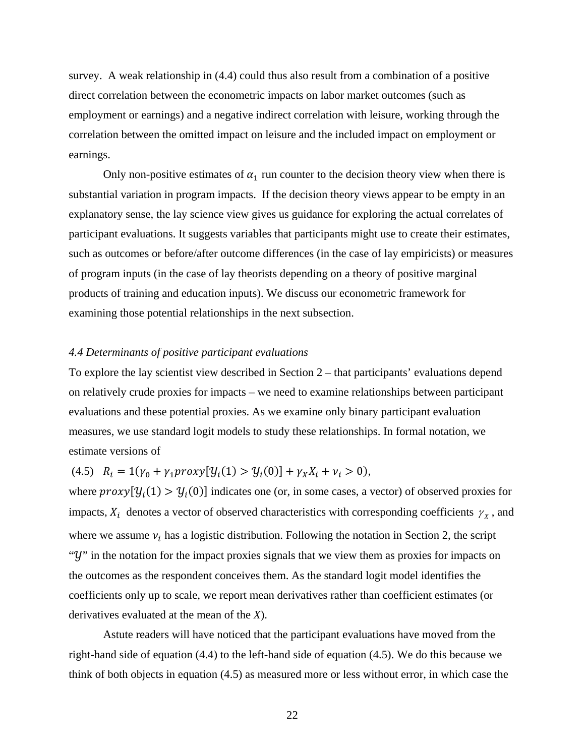survey. A weak relationship in (4.4) could thus also result from a combination of a positive direct correlation between the econometric impacts on labor market outcomes (such as employment or earnings) and a negative indirect correlation with leisure, working through the correlation between the omitted impact on leisure and the included impact on employment or earnings.

Only non-positive estimates of  $\alpha_1$  run counter to the decision theory view when there is substantial variation in program impacts. If the decision theory views appear to be empty in an explanatory sense, the lay science view gives us guidance for exploring the actual correlates of participant evaluations. It suggests variables that participants might use to create their estimates, such as outcomes or before/after outcome differences (in the case of lay empiricists) or measures of program inputs (in the case of lay theorists depending on a theory of positive marginal products of training and education inputs). We discuss our econometric framework for examining those potential relationships in the next subsection.

#### *4.4 Determinants of positive participant evaluations*

To explore the lay scientist view described in Section 2 – that participants' evaluations depend on relatively crude proxies for impacts – we need to examine relationships between participant evaluations and these potential proxies. As we examine only binary participant evaluation measures, we use standard logit models to study these relationships. In formal notation, we estimate versions of

(4.5)  $R_i = 1(\gamma_0 + \gamma_1 provy[y_i(1) > y_i(0)] + \gamma_X X_i + \nu_i > 0),$ 

where  $proxy[y_i(1) > y_i(0)]$  indicates one (or, in some cases, a vector) of observed proxies for impacts,  $X_i$  denotes a vector of observed characteristics with corresponding coefficients  $\gamma_X$ , and where we assume  $v_i$  has a logistic distribution. Following the notation in Section 2, the script "*Y*" in the notation for the impact proxies signals that we view them as proxies for impacts on the outcomes as the respondent conceives them. As the standard logit model identifies the coefficients only up to scale, we report mean derivatives rather than coefficient estimates (or derivatives evaluated at the mean of the *X*).

 Astute readers will have noticed that the participant evaluations have moved from the right-hand side of equation (4.4) to the left-hand side of equation (4.5). We do this because we think of both objects in equation (4.5) as measured more or less without error, in which case the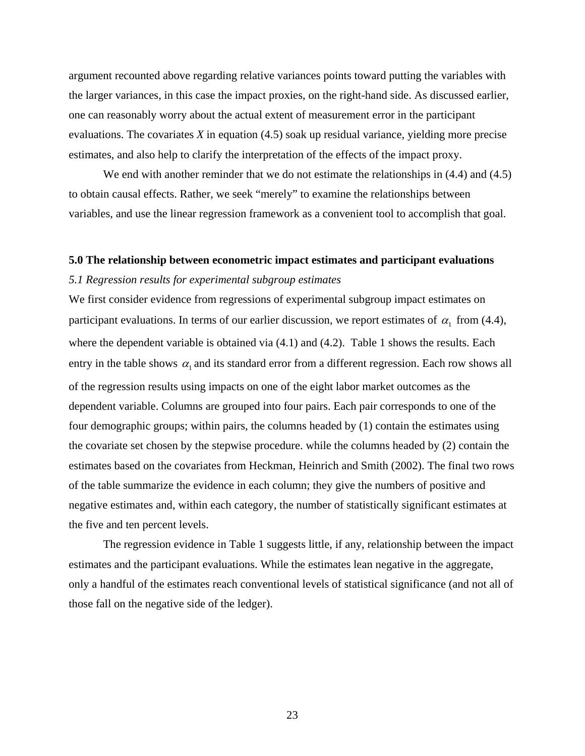argument recounted above regarding relative variances points toward putting the variables with the larger variances, in this case the impact proxies, on the right-hand side. As discussed earlier, one can reasonably worry about the actual extent of measurement error in the participant evaluations. The covariates *X* in equation (4.5) soak up residual variance, yielding more precise estimates, and also help to clarify the interpretation of the effects of the impact proxy.

We end with another reminder that we do not estimate the relationships in  $(4.4)$  and  $(4.5)$ to obtain causal effects. Rather, we seek "merely" to examine the relationships between variables, and use the linear regression framework as a convenient tool to accomplish that goal.

## **5.0 The relationship between econometric impact estimates and participant evaluations**

## *5.1 Regression results for experimental subgroup estimates*

We first consider evidence from regressions of experimental subgroup impact estimates on participant evaluations. In terms of our earlier discussion, we report estimates of  $\alpha_1$  from (4.4), where the dependent variable is obtained via  $(4.1)$  and  $(4.2)$ . Table 1 shows the results. Each entry in the table shows  $\alpha_1$  and its standard error from a different regression. Each row shows all of the regression results using impacts on one of the eight labor market outcomes as the dependent variable. Columns are grouped into four pairs. Each pair corresponds to one of the four demographic groups; within pairs, the columns headed by (1) contain the estimates using the covariate set chosen by the stepwise procedure. while the columns headed by (2) contain the estimates based on the covariates from Heckman, Heinrich and Smith (2002). The final two rows of the table summarize the evidence in each column; they give the numbers of positive and negative estimates and, within each category, the number of statistically significant estimates at the five and ten percent levels.

 The regression evidence in Table 1 suggests little, if any, relationship between the impact estimates and the participant evaluations. While the estimates lean negative in the aggregate, only a handful of the estimates reach conventional levels of statistical significance (and not all of those fall on the negative side of the ledger).

23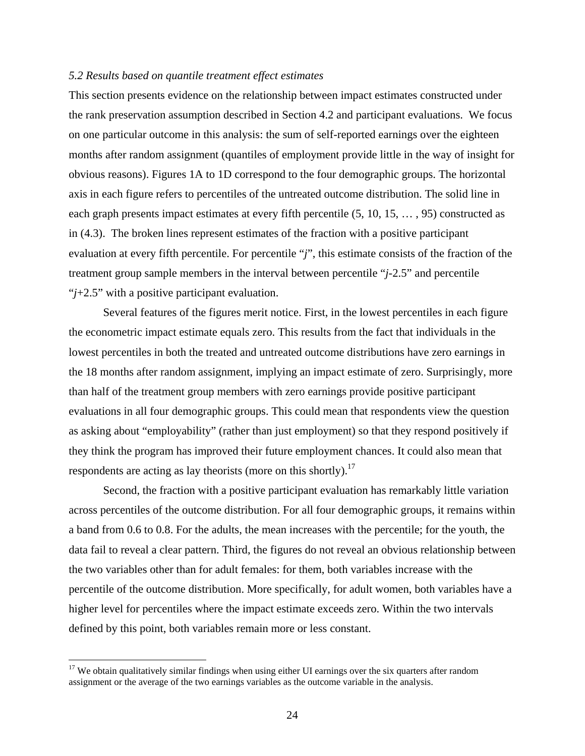#### *5.2 Results based on quantile treatment effect estimates*

This section presents evidence on the relationship between impact estimates constructed under the rank preservation assumption described in Section 4.2 and participant evaluations. We focus on one particular outcome in this analysis: the sum of self-reported earnings over the eighteen months after random assignment (quantiles of employment provide little in the way of insight for obvious reasons). Figures 1A to 1D correspond to the four demographic groups. The horizontal axis in each figure refers to percentiles of the untreated outcome distribution. The solid line in each graph presents impact estimates at every fifth percentile (5, 10, 15, … , 95) constructed as in (4.3). The broken lines represent estimates of the fraction with a positive participant evaluation at every fifth percentile. For percentile "*j*", this estimate consists of the fraction of the treatment group sample members in the interval between percentile "*j*-2.5" and percentile "*j*+2.5" with a positive participant evaluation.

Several features of the figures merit notice. First, in the lowest percentiles in each figure the econometric impact estimate equals zero. This results from the fact that individuals in the lowest percentiles in both the treated and untreated outcome distributions have zero earnings in the 18 months after random assignment, implying an impact estimate of zero. Surprisingly, more than half of the treatment group members with zero earnings provide positive participant evaluations in all four demographic groups. This could mean that respondents view the question as asking about "employability" (rather than just employment) so that they respond positively if they think the program has improved their future employment chances. It could also mean that respondents are acting as lay theorists (more on this shortly).<sup>17</sup>

 Second, the fraction with a positive participant evaluation has remarkably little variation across percentiles of the outcome distribution. For all four demographic groups, it remains within a band from 0.6 to 0.8. For the adults, the mean increases with the percentile; for the youth, the data fail to reveal a clear pattern. Third, the figures do not reveal an obvious relationship between the two variables other than for adult females: for them, both variables increase with the percentile of the outcome distribution. More specifically, for adult women, both variables have a higher level for percentiles where the impact estimate exceeds zero. Within the two intervals defined by this point, both variables remain more or less constant.

 $\overline{a}$ 

 $17$  We obtain qualitatively similar findings when using either UI earnings over the six quarters after random assignment or the average of the two earnings variables as the outcome variable in the analysis.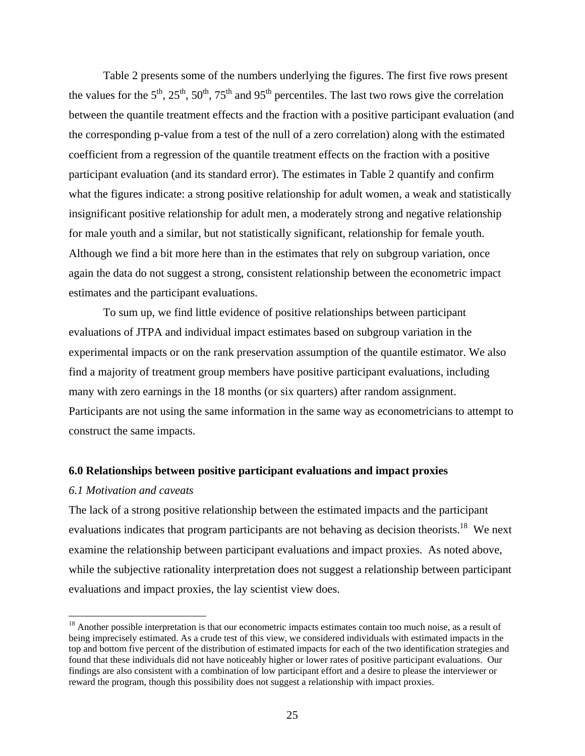Table 2 presents some of the numbers underlying the figures. The first five rows present the values for the  $5<sup>th</sup>$ ,  $25<sup>th</sup>$ ,  $50<sup>th</sup>$ ,  $75<sup>th</sup>$  and  $95<sup>th</sup>$  percentiles. The last two rows give the correlation between the quantile treatment effects and the fraction with a positive participant evaluation (and the corresponding p-value from a test of the null of a zero correlation) along with the estimated coefficient from a regression of the quantile treatment effects on the fraction with a positive participant evaluation (and its standard error). The estimates in Table 2 quantify and confirm what the figures indicate: a strong positive relationship for adult women, a weak and statistically insignificant positive relationship for adult men, a moderately strong and negative relationship for male youth and a similar, but not statistically significant, relationship for female youth. Although we find a bit more here than in the estimates that rely on subgroup variation, once again the data do not suggest a strong, consistent relationship between the econometric impact estimates and the participant evaluations.

 To sum up, we find little evidence of positive relationships between participant evaluations of JTPA and individual impact estimates based on subgroup variation in the experimental impacts or on the rank preservation assumption of the quantile estimator. We also find a majority of treatment group members have positive participant evaluations, including many with zero earnings in the 18 months (or six quarters) after random assignment. Participants are not using the same information in the same way as econometricians to attempt to construct the same impacts.

#### **6.0 Relationships between positive participant evaluations and impact proxies**

#### *6.1 Motivation and caveats*

1

The lack of a strong positive relationship between the estimated impacts and the participant evaluations indicates that program participants are not behaving as decision theorists.<sup>18</sup> We next examine the relationship between participant evaluations and impact proxies. As noted above, while the subjective rationality interpretation does not suggest a relationship between participant evaluations and impact proxies, the lay scientist view does.

 $18$  Another possible interpretation is that our econometric impacts estimates contain too much noise, as a result of being imprecisely estimated. As a crude test of this view, we considered individuals with estimated impacts in the top and bottom five percent of the distribution of estimated impacts for each of the two identification strategies and found that these individuals did not have noticeably higher or lower rates of positive participant evaluations. Our findings are also consistent with a combination of low participant effort and a desire to please the interviewer or reward the program, though this possibility does not suggest a relationship with impact proxies.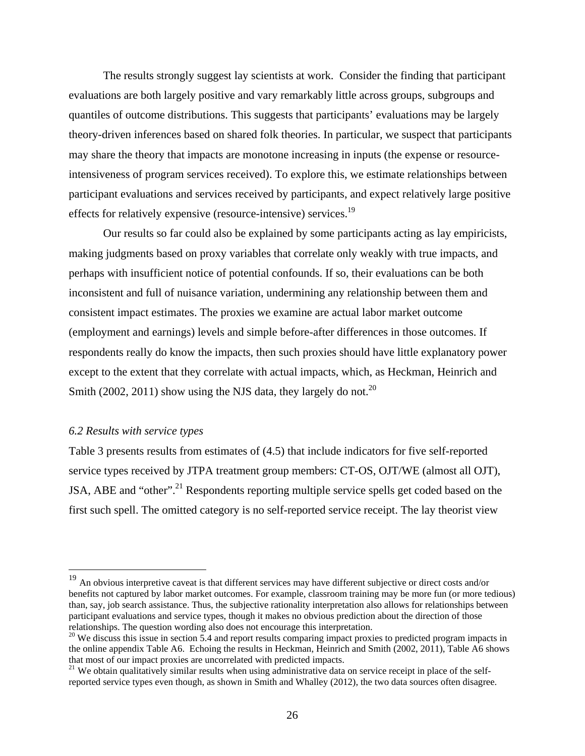The results strongly suggest lay scientists at work. Consider the finding that participant evaluations are both largely positive and vary remarkably little across groups, subgroups and quantiles of outcome distributions. This suggests that participants' evaluations may be largely theory-driven inferences based on shared folk theories. In particular, we suspect that participants may share the theory that impacts are monotone increasing in inputs (the expense or resourceintensiveness of program services received). To explore this, we estimate relationships between participant evaluations and services received by participants, and expect relatively large positive effects for relatively expensive (resource-intensive) services.19

 Our results so far could also be explained by some participants acting as lay empiricists, making judgments based on proxy variables that correlate only weakly with true impacts, and perhaps with insufficient notice of potential confounds. If so, their evaluations can be both inconsistent and full of nuisance variation, undermining any relationship between them and consistent impact estimates. The proxies we examine are actual labor market outcome (employment and earnings) levels and simple before-after differences in those outcomes. If respondents really do know the impacts, then such proxies should have little explanatory power except to the extent that they correlate with actual impacts, which, as Heckman, Heinrich and Smith (2002, 2011) show using the NJS data, they largely do not.<sup>20</sup>

#### *6.2 Results with service types*

 $\overline{a}$ 

Table 3 presents results from estimates of (4.5) that include indicators for five self-reported service types received by JTPA treatment group members: CT-OS, OJT/WE (almost all OJT), JSA, ABE and "other".<sup>21</sup> Respondents reporting multiple service spells get coded based on the first such spell. The omitted category is no self-reported service receipt. The lay theorist view

 $19$  An obvious interpretive caveat is that different services may have different subjective or direct costs and/or benefits not captured by labor market outcomes. For example, classroom training may be more fun (or more tedious) than, say, job search assistance. Thus, the subjective rationality interpretation also allows for relationships between participant evaluations and service types, though it makes no obvious prediction about the direction of those relationships. The question wording also does not encourage this interpretation.

<sup>&</sup>lt;sup>20</sup> We discuss this issue in section 5.4 and report results comparing impact proxies to predicted program impacts in the online appendix Table A6. Echoing the results in Heckman, Heinrich and Smith (2002, 2011), Table A6 shows that most of our impact proxies are uncorrelated with predicted impacts.

<sup>&</sup>lt;sup>21</sup> We obtain qualitatively similar results when using administrative data on service receipt in place of the selfreported service types even though, as shown in Smith and Whalley (2012), the two data sources often disagree.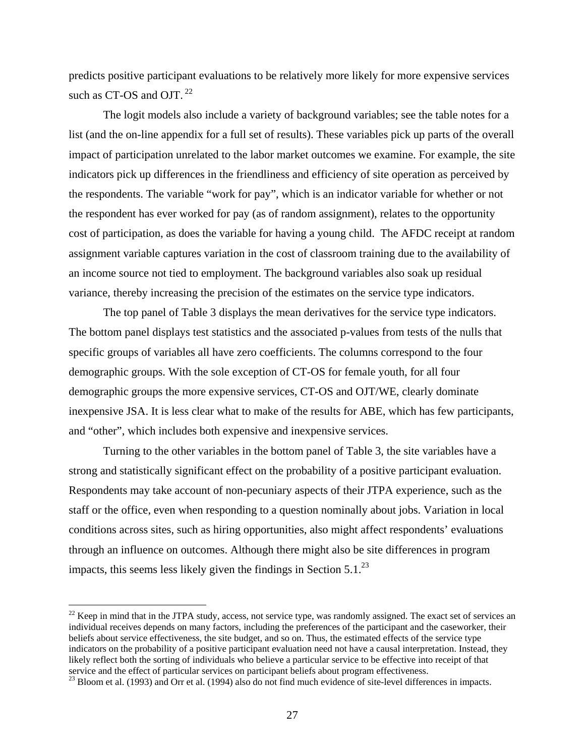predicts positive participant evaluations to be relatively more likely for more expensive services such as CT-OS and OJT.<sup>22</sup>

The logit models also include a variety of background variables; see the table notes for a list (and the on-line appendix for a full set of results). These variables pick up parts of the overall impact of participation unrelated to the labor market outcomes we examine. For example, the site indicators pick up differences in the friendliness and efficiency of site operation as perceived by the respondents. The variable "work for pay", which is an indicator variable for whether or not the respondent has ever worked for pay (as of random assignment), relates to the opportunity cost of participation, as does the variable for having a young child. The AFDC receipt at random assignment variable captures variation in the cost of classroom training due to the availability of an income source not tied to employment. The background variables also soak up residual variance, thereby increasing the precision of the estimates on the service type indicators.

 The top panel of Table 3 displays the mean derivatives for the service type indicators. The bottom panel displays test statistics and the associated p-values from tests of the nulls that specific groups of variables all have zero coefficients. The columns correspond to the four demographic groups. With the sole exception of CT-OS for female youth, for all four demographic groups the more expensive services, CT-OS and OJT/WE, clearly dominate inexpensive JSA. It is less clear what to make of the results for ABE, which has few participants, and "other", which includes both expensive and inexpensive services.

 Turning to the other variables in the bottom panel of Table 3, the site variables have a strong and statistically significant effect on the probability of a positive participant evaluation. Respondents may take account of non-pecuniary aspects of their JTPA experience, such as the staff or the office, even when responding to a question nominally about jobs. Variation in local conditions across sites, such as hiring opportunities, also might affect respondents' evaluations through an influence on outcomes. Although there might also be site differences in program impacts, this seems less likely given the findings in Section  $5.1<sup>23</sup>$ 

 $\overline{a}$ 

 $22$  Keep in mind that in the JTPA study, access, not service type, was randomly assigned. The exact set of services an individual receives depends on many factors, including the preferences of the participant and the caseworker, their beliefs about service effectiveness, the site budget, and so on. Thus, the estimated effects of the service type indicators on the probability of a positive participant evaluation need not have a causal interpretation. Instead, they likely reflect both the sorting of individuals who believe a particular service to be effective into receipt of that service and the effect of particular services on participant beliefs about program effectiveness.<br><sup>23</sup> Bloom et al. (1993) and Orr et al. (1994) also do not find much evidence of site-level differences in impacts.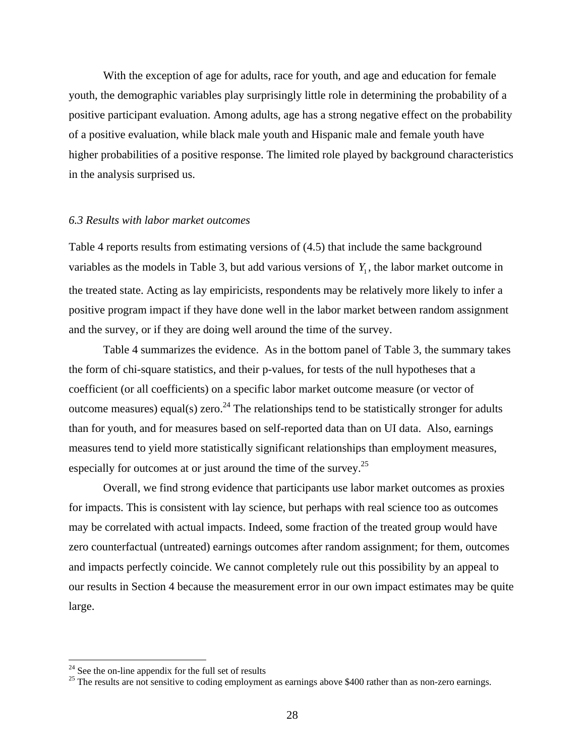With the exception of age for adults, race for youth, and age and education for female youth, the demographic variables play surprisingly little role in determining the probability of a positive participant evaluation. Among adults, age has a strong negative effect on the probability of a positive evaluation, while black male youth and Hispanic male and female youth have higher probabilities of a positive response. The limited role played by background characteristics in the analysis surprised us.

#### *6.3 Results with labor market outcomes*

Table 4 reports results from estimating versions of (4.5) that include the same background variables as the models in Table 3, but add various versions of  $Y_1$ , the labor market outcome in the treated state. Acting as lay empiricists, respondents may be relatively more likely to infer a positive program impact if they have done well in the labor market between random assignment and the survey, or if they are doing well around the time of the survey.

 Table 4 summarizes the evidence. As in the bottom panel of Table 3, the summary takes the form of chi-square statistics, and their p-values, for tests of the null hypotheses that a coefficient (or all coefficients) on a specific labor market outcome measure (or vector of outcome measures) equal(s) zero.<sup>24</sup> The relationships tend to be statistically stronger for adults than for youth, and for measures based on self-reported data than on UI data. Also, earnings measures tend to yield more statistically significant relationships than employment measures, especially for outcomes at or just around the time of the survey.<sup>25</sup>

 Overall, we find strong evidence that participants use labor market outcomes as proxies for impacts. This is consistent with lay science, but perhaps with real science too as outcomes may be correlated with actual impacts. Indeed, some fraction of the treated group would have zero counterfactual (untreated) earnings outcomes after random assignment; for them, outcomes and impacts perfectly coincide. We cannot completely rule out this possibility by an appeal to our results in Section 4 because the measurement error in our own impact estimates may be quite large.

 $\overline{a}$ 

 $24$  See the on-line appendix for the full set of results

 $25$  The results are not sensitive to coding employment as earnings above \$400 rather than as non-zero earnings.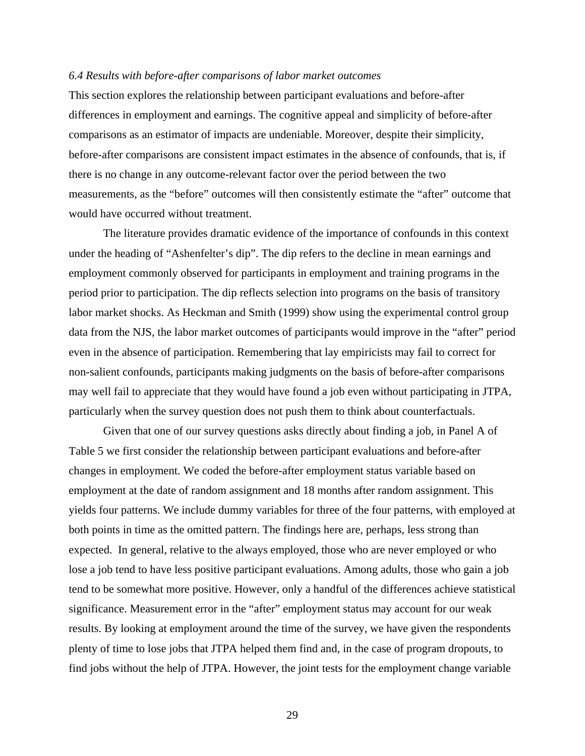#### *6.4 Results with before-after comparisons of labor market outcomes*

This section explores the relationship between participant evaluations and before-after differences in employment and earnings. The cognitive appeal and simplicity of before-after comparisons as an estimator of impacts are undeniable. Moreover, despite their simplicity, before-after comparisons are consistent impact estimates in the absence of confounds, that is, if there is no change in any outcome-relevant factor over the period between the two measurements, as the "before" outcomes will then consistently estimate the "after" outcome that would have occurred without treatment.

The literature provides dramatic evidence of the importance of confounds in this context under the heading of "Ashenfelter's dip". The dip refers to the decline in mean earnings and employment commonly observed for participants in employment and training programs in the period prior to participation. The dip reflects selection into programs on the basis of transitory labor market shocks. As Heckman and Smith (1999) show using the experimental control group data from the NJS, the labor market outcomes of participants would improve in the "after" period even in the absence of participation. Remembering that lay empiricists may fail to correct for non-salient confounds, participants making judgments on the basis of before-after comparisons may well fail to appreciate that they would have found a job even without participating in JTPA, particularly when the survey question does not push them to think about counterfactuals.

Given that one of our survey questions asks directly about finding a job, in Panel A of Table 5 we first consider the relationship between participant evaluations and before-after changes in employment. We coded the before-after employment status variable based on employment at the date of random assignment and 18 months after random assignment. This yields four patterns. We include dummy variables for three of the four patterns, with employed at both points in time as the omitted pattern. The findings here are, perhaps, less strong than expected. In general, relative to the always employed, those who are never employed or who lose a job tend to have less positive participant evaluations. Among adults, those who gain a job tend to be somewhat more positive. However, only a handful of the differences achieve statistical significance. Measurement error in the "after" employment status may account for our weak results. By looking at employment around the time of the survey, we have given the respondents plenty of time to lose jobs that JTPA helped them find and, in the case of program dropouts, to find jobs without the help of JTPA. However, the joint tests for the employment change variable

29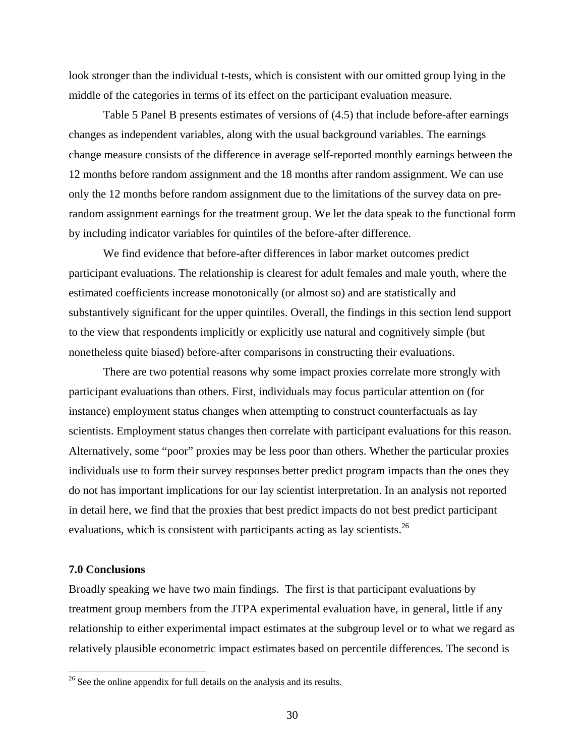look stronger than the individual t-tests, which is consistent with our omitted group lying in the middle of the categories in terms of its effect on the participant evaluation measure.

Table 5 Panel B presents estimates of versions of (4.5) that include before-after earnings changes as independent variables, along with the usual background variables. The earnings change measure consists of the difference in average self-reported monthly earnings between the 12 months before random assignment and the 18 months after random assignment. We can use only the 12 months before random assignment due to the limitations of the survey data on prerandom assignment earnings for the treatment group. We let the data speak to the functional form by including indicator variables for quintiles of the before-after difference.

 We find evidence that before-after differences in labor market outcomes predict participant evaluations. The relationship is clearest for adult females and male youth, where the estimated coefficients increase monotonically (or almost so) and are statistically and substantively significant for the upper quintiles. Overall, the findings in this section lend support to the view that respondents implicitly or explicitly use natural and cognitively simple (but nonetheless quite biased) before-after comparisons in constructing their evaluations.

 There are two potential reasons why some impact proxies correlate more strongly with participant evaluations than others. First, individuals may focus particular attention on (for instance) employment status changes when attempting to construct counterfactuals as lay scientists. Employment status changes then correlate with participant evaluations for this reason. Alternatively, some "poor" proxies may be less poor than others. Whether the particular proxies individuals use to form their survey responses better predict program impacts than the ones they do not has important implications for our lay scientist interpretation. In an analysis not reported in detail here, we find that the proxies that best predict impacts do not best predict participant evaluations, which is consistent with participants acting as lay scientists.<sup>26</sup>

#### **7.0 Conclusions**

 $\overline{a}$ 

Broadly speaking we have two main findings. The first is that participant evaluations by treatment group members from the JTPA experimental evaluation have, in general, little if any relationship to either experimental impact estimates at the subgroup level or to what we regard as relatively plausible econometric impact estimates based on percentile differences. The second is

 $26$  See the online appendix for full details on the analysis and its results.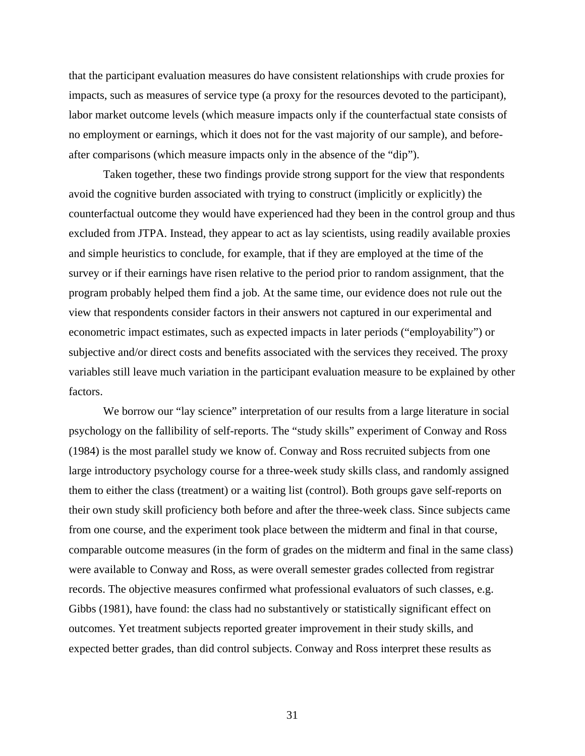that the participant evaluation measures do have consistent relationships with crude proxies for impacts, such as measures of service type (a proxy for the resources devoted to the participant), labor market outcome levels (which measure impacts only if the counterfactual state consists of no employment or earnings, which it does not for the vast majority of our sample), and beforeafter comparisons (which measure impacts only in the absence of the "dip").

 Taken together, these two findings provide strong support for the view that respondents avoid the cognitive burden associated with trying to construct (implicitly or explicitly) the counterfactual outcome they would have experienced had they been in the control group and thus excluded from JTPA. Instead, they appear to act as lay scientists, using readily available proxies and simple heuristics to conclude, for example, that if they are employed at the time of the survey or if their earnings have risen relative to the period prior to random assignment, that the program probably helped them find a job. At the same time, our evidence does not rule out the view that respondents consider factors in their answers not captured in our experimental and econometric impact estimates, such as expected impacts in later periods ("employability") or subjective and/or direct costs and benefits associated with the services they received. The proxy variables still leave much variation in the participant evaluation measure to be explained by other factors.

We borrow our "lay science" interpretation of our results from a large literature in social psychology on the fallibility of self-reports. The "study skills" experiment of Conway and Ross (1984) is the most parallel study we know of. Conway and Ross recruited subjects from one large introductory psychology course for a three-week study skills class, and randomly assigned them to either the class (treatment) or a waiting list (control). Both groups gave self-reports on their own study skill proficiency both before and after the three-week class. Since subjects came from one course, and the experiment took place between the midterm and final in that course, comparable outcome measures (in the form of grades on the midterm and final in the same class) were available to Conway and Ross, as were overall semester grades collected from registrar records. The objective measures confirmed what professional evaluators of such classes, e.g. Gibbs (1981), have found: the class had no substantively or statistically significant effect on outcomes. Yet treatment subjects reported greater improvement in their study skills, and expected better grades, than did control subjects. Conway and Ross interpret these results as

31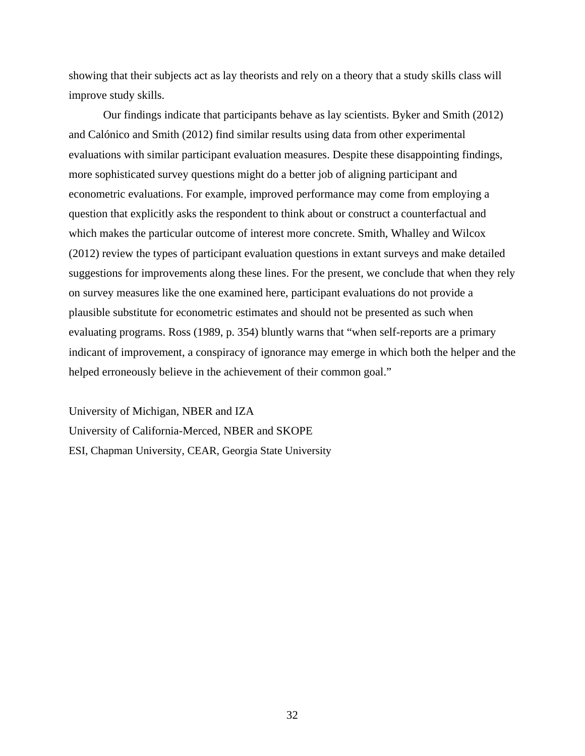showing that their subjects act as lay theorists and rely on a theory that a study skills class will improve study skills.

 Our findings indicate that participants behave as lay scientists. Byker and Smith (2012) and Calónico and Smith (2012) find similar results using data from other experimental evaluations with similar participant evaluation measures. Despite these disappointing findings, more sophisticated survey questions might do a better job of aligning participant and econometric evaluations. For example, improved performance may come from employing a question that explicitly asks the respondent to think about or construct a counterfactual and which makes the particular outcome of interest more concrete. Smith, Whalley and Wilcox (2012) review the types of participant evaluation questions in extant surveys and make detailed suggestions for improvements along these lines. For the present, we conclude that when they rely on survey measures like the one examined here, participant evaluations do not provide a plausible substitute for econometric estimates and should not be presented as such when evaluating programs. Ross (1989, p. 354) bluntly warns that "when self-reports are a primary indicant of improvement, a conspiracy of ignorance may emerge in which both the helper and the helped erroneously believe in the achievement of their common goal."

University of Michigan, NBER and IZA University of California-Merced, NBER and SKOPE ESI, Chapman University, CEAR, Georgia State University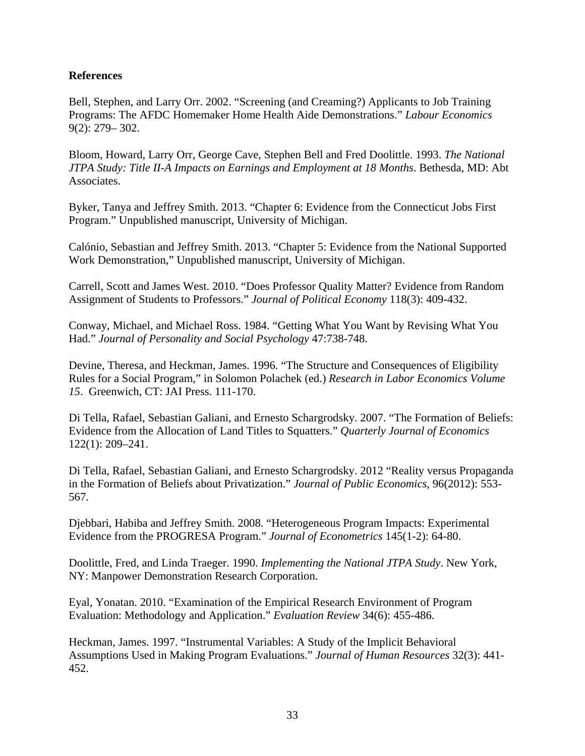## **References**

Bell, Stephen, and Larry Orr. 2002. "Screening (and Creaming?) Applicants to Job Training Programs: The AFDC Homemaker Home Health Aide Demonstrations." *Labour Economics* 9(2): 279– 302.

Bloom, Howard, Larry Orr, George Cave, Stephen Bell and Fred Doolittle. 1993. *The National JTPA Study: Title II-A Impacts on Earnings and Employment at 18 Months*. Bethesda, MD: Abt Associates.

Byker, Tanya and Jeffrey Smith. 2013. "Chapter 6: Evidence from the Connecticut Jobs First Program." Unpublished manuscript, University of Michigan.

Calónio, Sebastian and Jeffrey Smith. 2013. "Chapter 5: Evidence from the National Supported Work Demonstration," Unpublished manuscript, University of Michigan.

Carrell, Scott and James West. 2010. "Does Professor Quality Matter? Evidence from Random Assignment of Students to Professors." *Journal of Political Economy* 118(3): 409-432.

Conway, Michael, and Michael Ross. 1984. "Getting What You Want by Revising What You Had." *Journal of Personality and Social Psychology* 47:738-748.

Devine, Theresa, and Heckman, James. 1996. "The Structure and Consequences of Eligibility Rules for a Social Program," in Solomon Polachek (ed.) *Research in Labor Economics Volume 15*. Greenwich, CT: JAI Press. 111-170.

Di Tella, Rafael, Sebastian Galiani, and Ernesto Schargrodsky. 2007. "The Formation of Beliefs: Evidence from the Allocation of Land Titles to Squatters." *Quarterly Journal of Economics* 122(1): 209–241.

Di Tella, Rafael, Sebastian Galiani, and Ernesto Schargrodsky. 2012 "Reality versus Propaganda in the Formation of Beliefs about Privatization." *Journal of Public Economics*, 96(2012): 553- 567.

Djebbari, Habiba and Jeffrey Smith. 2008. "Heterogeneous Program Impacts: Experimental Evidence from the PROGRESA Program." *Journal of Econometrics* 145(1-2): 64-80.

Doolittle, Fred, and Linda Traeger. 1990. *Implementing the National JTPA Study*. New York, NY: Manpower Demonstration Research Corporation.

Eyal, Yonatan. 2010. "Examination of the Empirical Research Environment of Program Evaluation: Methodology and Application." *Evaluation Review* 34(6): 455-486.

Heckman, James. 1997. "Instrumental Variables: A Study of the Implicit Behavioral Assumptions Used in Making Program Evaluations." *Journal of Human Resources* 32(3): 441- 452.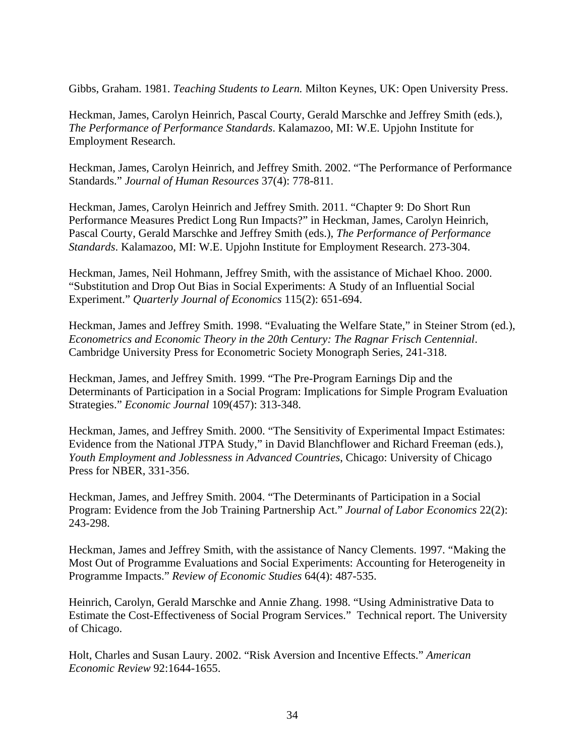Gibbs, Graham. 1981. *Teaching Students to Learn.* Milton Keynes, UK: Open University Press.

Heckman, James, Carolyn Heinrich, Pascal Courty, Gerald Marschke and Jeffrey Smith (eds.), *The Performance of Performance Standards*. Kalamazoo, MI: W.E. Upjohn Institute for Employment Research.

Heckman, James, Carolyn Heinrich, and Jeffrey Smith. 2002. "The Performance of Performance Standards." *Journal of Human Resources* 37(4): 778-811.

Heckman, James, Carolyn Heinrich and Jeffrey Smith. 2011. "Chapter 9: Do Short Run Performance Measures Predict Long Run Impacts?" in Heckman, James, Carolyn Heinrich, Pascal Courty, Gerald Marschke and Jeffrey Smith (eds.), *The Performance of Performance Standards*. Kalamazoo, MI: W.E. Upjohn Institute for Employment Research. 273-304.

Heckman, James, Neil Hohmann, Jeffrey Smith, with the assistance of Michael Khoo. 2000. "Substitution and Drop Out Bias in Social Experiments: A Study of an Influential Social Experiment." *Quarterly Journal of Economics* 115(2): 651-694.

Heckman, James and Jeffrey Smith. 1998. "Evaluating the Welfare State," in Steiner Strom (ed.), *Econometrics and Economic Theory in the 20th Century: The Ragnar Frisch Centennial*. Cambridge University Press for Econometric Society Monograph Series, 241-318.

Heckman, James, and Jeffrey Smith. 1999. "The Pre-Program Earnings Dip and the Determinants of Participation in a Social Program: Implications for Simple Program Evaluation Strategies." *Economic Journal* 109(457): 313-348.

Heckman, James, and Jeffrey Smith. 2000. "The Sensitivity of Experimental Impact Estimates: Evidence from the National JTPA Study," in David Blanchflower and Richard Freeman (eds.), *Youth Employment and Joblessness in Advanced Countries*, Chicago: University of Chicago Press for NBER, 331-356.

Heckman, James, and Jeffrey Smith. 2004. "The Determinants of Participation in a Social Program: Evidence from the Job Training Partnership Act." *Journal of Labor Economics* 22(2): 243-298.

Heckman, James and Jeffrey Smith, with the assistance of Nancy Clements. 1997. "Making the Most Out of Programme Evaluations and Social Experiments: Accounting for Heterogeneity in Programme Impacts." *Review of Economic Studies* 64(4): 487-535.

Heinrich, Carolyn, Gerald Marschke and Annie Zhang. 1998. "Using Administrative Data to Estimate the Cost-Effectiveness of Social Program Services." Technical report. The University of Chicago.

Holt, Charles and Susan Laury. 2002. "Risk Aversion and Incentive Effects." *American Economic Review* 92:1644-1655.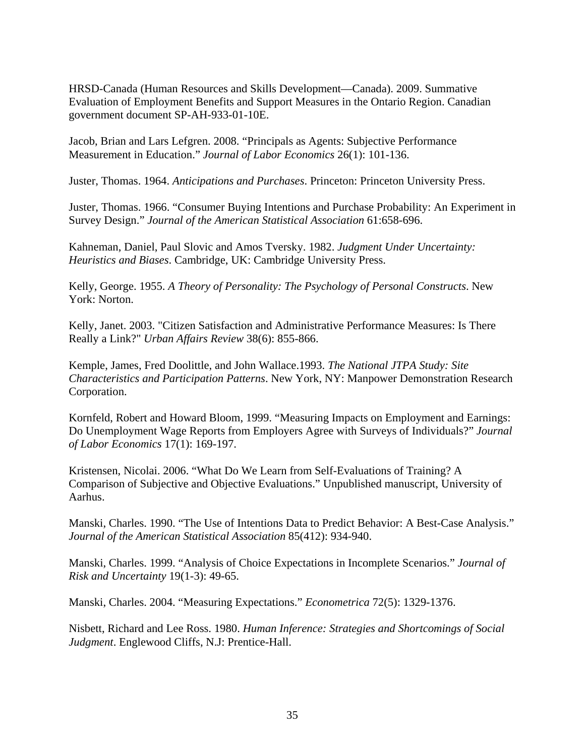HRSD-Canada (Human Resources and Skills Development—Canada). 2009. Summative Evaluation of Employment Benefits and Support Measures in the Ontario Region. Canadian government document SP-AH-933-01-10E.

Jacob, Brian and Lars Lefgren. 2008. "Principals as Agents: Subjective Performance Measurement in Education." *Journal of Labor Economics* 26(1): 101-136.

Juster, Thomas. 1964. *Anticipations and Purchases*. Princeton: Princeton University Press.

Juster, Thomas. 1966. "Consumer Buying Intentions and Purchase Probability: An Experiment in Survey Design." *Journal of the American Statistical Association* 61:658-696.

Kahneman, Daniel, Paul Slovic and Amos Tversky. 1982. *Judgment Under Uncertainty: Heuristics and Biases*. Cambridge, UK: Cambridge University Press.

Kelly, George. 1955. *A Theory of Personality: The Psychology of Personal Constructs*. New York: Norton.

Kelly, Janet. 2003. "Citizen Satisfaction and Administrative Performance Measures: Is There Really a Link?" *Urban Affairs Review* 38(6): 855-866.

Kemple, James, Fred Doolittle, and John Wallace.1993. *The National JTPA Study: Site Characteristics and Participation Patterns*. New York, NY: Manpower Demonstration Research Corporation.

Kornfeld, Robert and Howard Bloom, 1999. "Measuring Impacts on Employment and Earnings: Do Unemployment Wage Reports from Employers Agree with Surveys of Individuals?" *Journal of Labor Economics* 17(1): 169-197.

Kristensen, Nicolai. 2006. "What Do We Learn from Self-Evaluations of Training? A Comparison of Subjective and Objective Evaluations." Unpublished manuscript, University of Aarhus.

Manski, Charles. 1990. "The Use of Intentions Data to Predict Behavior: A Best-Case Analysis." *Journal of the American Statistical Association* 85(412): 934-940.

Manski, Charles. 1999. "Analysis of Choice Expectations in Incomplete Scenarios." *Journal of Risk and Uncertainty* 19(1-3): 49-65.

Manski, Charles. 2004. "Measuring Expectations." *Econometrica* 72(5): 1329-1376.

Nisbett, Richard and Lee Ross. 1980. *Human Inference: Strategies and Shortcomings of Social Judgment*. Englewood Cliffs, N.J: Prentice-Hall.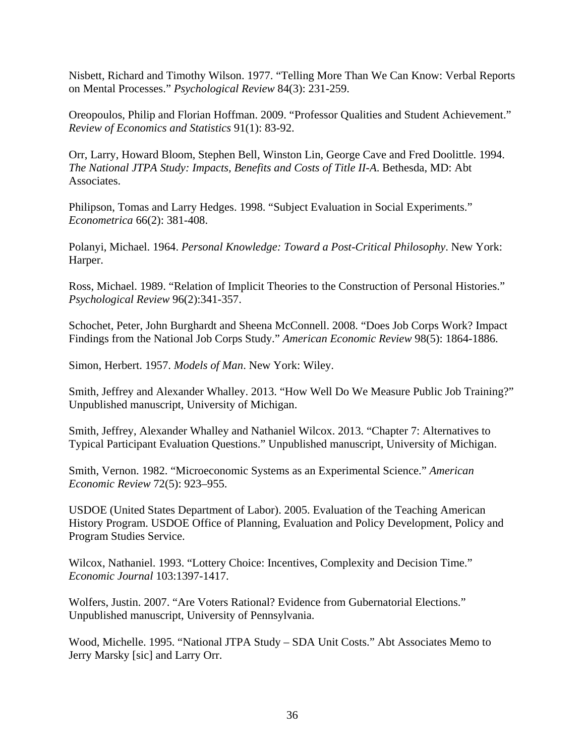Nisbett, Richard and Timothy Wilson. 1977. "Telling More Than We Can Know: Verbal Reports on Mental Processes." *Psychological Review* 84(3): 231-259.

Oreopoulos, Philip and Florian Hoffman. 2009. "Professor Qualities and Student Achievement." *Review of Economics and Statistics* 91(1): 83-92.

Orr, Larry, Howard Bloom, Stephen Bell, Winston Lin, George Cave and Fred Doolittle. 1994. *The National JTPA Study: Impacts, Benefits and Costs of Title II-A*. Bethesda, MD: Abt Associates.

Philipson, Tomas and Larry Hedges. 1998. "Subject Evaluation in Social Experiments." *Econometrica* 66(2): 381-408.

Polanyi, Michael. 1964. *Personal Knowledge: Toward a Post-Critical Philosophy*. New York: Harper.

Ross, Michael. 1989. "Relation of Implicit Theories to the Construction of Personal Histories." *Psychological Review* 96(2):341-357.

Schochet, Peter, John Burghardt and Sheena McConnell. 2008. "Does Job Corps Work? Impact Findings from the National Job Corps Study." *American Economic Review* 98(5): 1864-1886.

Simon, Herbert. 1957. *Models of Man*. New York: Wiley.

Smith, Jeffrey and Alexander Whalley. 2013. "How Well Do We Measure Public Job Training?" Unpublished manuscript, University of Michigan.

Smith, Jeffrey, Alexander Whalley and Nathaniel Wilcox. 2013. "Chapter 7: Alternatives to Typical Participant Evaluation Questions." Unpublished manuscript, University of Michigan.

Smith, Vernon. 1982. "Microeconomic Systems as an Experimental Science." *American Economic Review* 72(5): 923–955.

USDOE (United States Department of Labor). 2005. Evaluation of the Teaching American History Program. USDOE Office of Planning, Evaluation and Policy Development, Policy and Program Studies Service.

Wilcox, Nathaniel. 1993. "Lottery Choice: Incentives, Complexity and Decision Time." *Economic Journal* 103:1397-1417.

Wolfers, Justin. 2007. "Are Voters Rational? Evidence from Gubernatorial Elections." Unpublished manuscript, University of Pennsylvania.

Wood, Michelle. 1995. "National JTPA Study – SDA Unit Costs." Abt Associates Memo to Jerry Marsky [sic] and Larry Orr.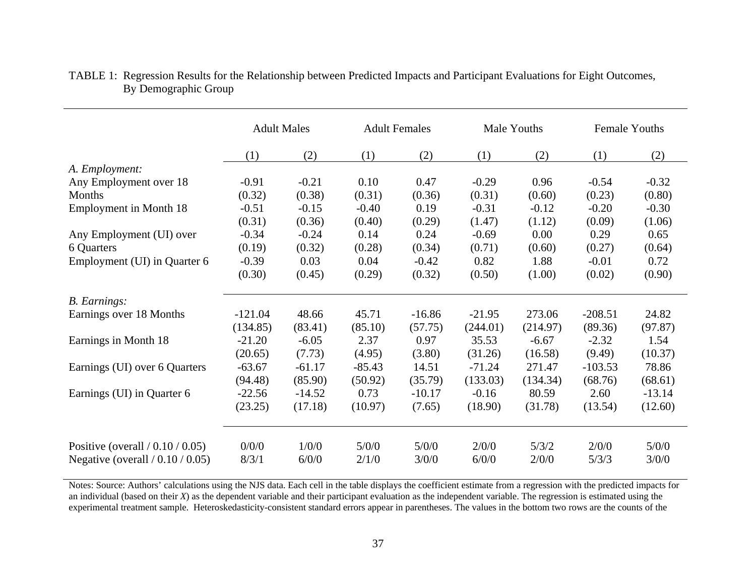|                                     | <b>Adult Males</b> |          | <b>Adult Females</b> |          | Male Youths |          | Female Youths |          |
|-------------------------------------|--------------------|----------|----------------------|----------|-------------|----------|---------------|----------|
|                                     | (1)                | (2)      | (1)                  | (2)      | (1)         | (2)      | (1)           | (2)      |
| A. Employment:                      |                    |          |                      |          |             |          |               |          |
| Any Employment over 18              | $-0.91$            | $-0.21$  | 0.10                 | 0.47     | $-0.29$     | 0.96     | $-0.54$       | $-0.32$  |
| Months                              | (0.32)             | (0.38)   | (0.31)               | (0.36)   | (0.31)      | (0.60)   | (0.23)        | (0.80)   |
| <b>Employment in Month 18</b>       | $-0.51$            | $-0.15$  | $-0.40$              | 0.19     | $-0.31$     | $-0.12$  | $-0.20$       | $-0.30$  |
|                                     | (0.31)             | (0.36)   | (0.40)               | (0.29)   | (1.47)      | (1.12)   | (0.09)        | (1.06)   |
| Any Employment (UI) over            | $-0.34$            | $-0.24$  | 0.14                 | 0.24     | $-0.69$     | 0.00     | 0.29          | 0.65     |
| 6 Quarters                          | (0.19)             | (0.32)   | (0.28)               | (0.34)   | (0.71)      | (0.60)   | (0.27)        | (0.64)   |
| Employment (UI) in Quarter 6        | $-0.39$            | 0.03     | 0.04                 | $-0.42$  | 0.82        | 1.88     | $-0.01$       | 0.72     |
|                                     | (0.30)             | (0.45)   | (0.29)               | (0.32)   | (0.50)      | (1.00)   | (0.02)        | (0.90)   |
| <b>B.</b> Earnings:                 |                    |          |                      |          |             |          |               |          |
| Earnings over 18 Months             | $-121.04$          | 48.66    | 45.71                | $-16.86$ | $-21.95$    | 273.06   | $-208.51$     | 24.82    |
|                                     | (134.85)           | (83.41)  | (85.10)              | (57.75)  | (244.01)    | (214.97) | (89.36)       | (97.87)  |
| Earnings in Month 18                | $-21.20$           | $-6.05$  | 2.37                 | 0.97     | 35.53       | $-6.67$  | $-2.32$       | 1.54     |
|                                     | (20.65)            | (7.73)   | (4.95)               | (3.80)   | (31.26)     | (16.58)  | (9.49)        | (10.37)  |
| Earnings (UI) over 6 Quarters       | $-63.67$           | $-61.17$ | $-85.43$             | 14.51    | $-71.24$    | 271.47   | $-103.53$     | 78.86    |
|                                     | (94.48)            | (85.90)  | (50.92)              | (35.79)  | (133.03)    | (134.34) | (68.76)       | (68.61)  |
| Earnings (UI) in Quarter 6          | $-22.56$           | $-14.52$ | 0.73                 | $-10.17$ | $-0.16$     | 80.59    | 2.60          | $-13.14$ |
|                                     | (23.25)            | (17.18)  | (10.97)              | (7.65)   | (18.90)     | (31.78)  | (13.54)       | (12.60)  |
|                                     |                    |          |                      |          |             |          |               |          |
| Positive (overall $/ 0.10 / 0.05$ ) | 0/0/0              | 1/0/0    | 5/0/0                | 5/0/0    | 2/0/0       | 5/3/2    | 2/0/0         | 5/0/0    |
| Negative (overall $/ 0.10 / 0.05$ ) | 8/3/1              | 6/0/0    | 2/1/0                | 3/0/0    | 6/0/0       | 2/0/0    | 5/3/3         | 3/0/0    |

## TABLE 1: Regression Results for the Relationship between Predicted Impacts and Participant Evaluations for Eight Outcomes, By Demographic Group

Notes: Source: Authors' calculations using the NJS data. Each cell in the table displays the coefficient estimate from a regression with the predicted impacts for an individual (based on their *X*) as the dependent variable and their participant evaluation as the independent variable. The regression is estimated using the experimental treatment sample. Heteroskedasticity-consistent standard errors appear in parentheses. The values in the bottom two rows are the counts of the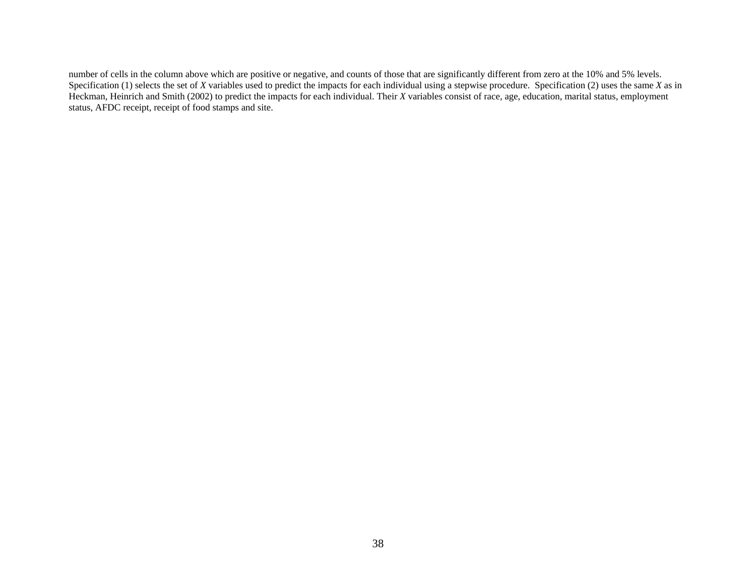number of cells in the column above which are positive or negative, and counts of those that are significantly different from zero at the 10% and 5% levels. Specification (1) selects the set of *X* variables used to predict the impacts for each individual using a stepwise procedure. Specification (2) uses the same *X* as in Heckman, Heinrich and Smith (2002) to predict the impacts for each individual. Their *X* variables consist of race, age, education, marital status, employment status, AFDC receipt, receipt of food stamps and site.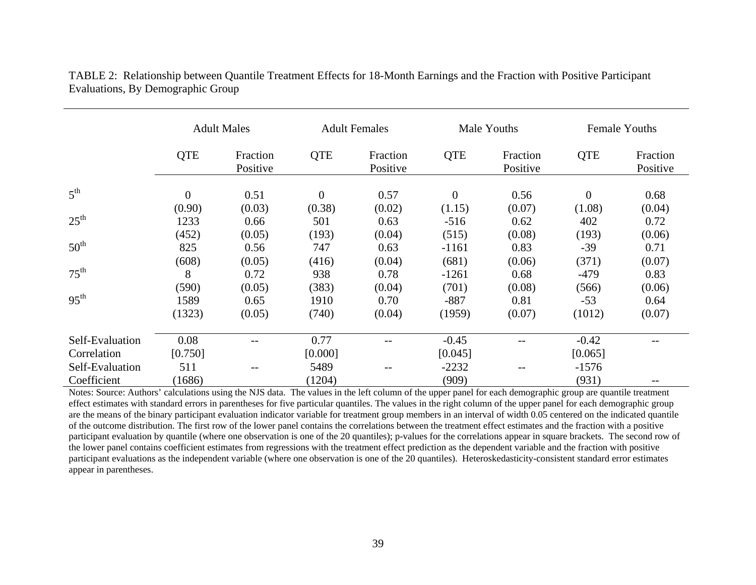|                                | <b>Adult Males</b> |                      | <b>Adult Females</b> |                      | Male Youths        |                      | <b>Female Youths</b> |                      |
|--------------------------------|--------------------|----------------------|----------------------|----------------------|--------------------|----------------------|----------------------|----------------------|
|                                | <b>QTE</b>         | Fraction<br>Positive | <b>QTE</b>           | Fraction<br>Positive | <b>QTE</b>         | Fraction<br>Positive | <b>QTE</b>           | Fraction<br>Positive |
| 5 <sup>th</sup>                | $\overline{0}$     | 0.51                 | $\overline{0}$       | 0.57                 | $\overline{0}$     | 0.56                 | $\theta$             | 0.68                 |
| $25^{\text{th}}$               | (0.90)<br>1233     | (0.03)<br>0.66       | (0.38)<br>501        | (0.02)<br>0.63       | (1.15)<br>$-516$   | (0.07)<br>0.62       | (1.08)<br>402        | (0.04)<br>0.72       |
| 50 <sup>th</sup>               | (452)<br>825       | (0.05)<br>0.56       | (193)<br>747         | (0.04)<br>0.63       | (515)<br>$-1161$   | (0.08)<br>0.83       | (193)<br>$-39$       | (0.06)<br>0.71       |
| $75^{\text{th}}$               | (608)<br>8         | (0.05)<br>0.72       | (416)<br>938         | (0.04)<br>0.78       | (681)<br>$-1261$   | (0.06)<br>0.68       | (371)<br>$-479$      | (0.07)<br>0.83       |
| 95 <sup>th</sup>               | (590)<br>1589      | (0.05)<br>0.65       | (383)<br>1910        | (0.04)<br>0.70       | (701)<br>$-887$    | (0.08)<br>0.81       | (566)<br>$-53$       | (0.06)<br>0.64       |
|                                | (1323)             | (0.05)               | (740)                | (0.04)               | (1959)             | (0.07)               | (1012)               | (0.07)               |
| Self-Evaluation                | 0.08               |                      | 0.77                 |                      | $-0.45$            |                      | $-0.42$              |                      |
| Correlation<br>Self-Evaluation | [0.750]<br>511     |                      | [0.000]<br>5489      | $- -$                | [0.045]<br>$-2232$ | $- -$                | [0.065]<br>$-1576$   |                      |
| Coefficient                    | (1686)             |                      | (1204)               |                      | (909)              |                      | (931)                |                      |

TABLE 2: Relationship between Quantile Treatment Effects for 18-Month Earnings and the Fraction with Positive Participant Evaluations, By Demographic Group

Notes: Source: Authors' calculations using the NJS data. The values in the left column of the upper panel for each demographic group are quantile treatment effect estimates with standard errors in parentheses for five particular quantiles. The values in the right column of the upper panel for each demographic group are the means of the binary participant evaluation indicator variable for treatment group members in an interval of width 0.05 centered on the indicated quantile of the outcome distribution. The first row of the lower panel contains the correlations between the treatment effect estimates and the fraction with a positive participant evaluation by quantile (where one observation is one of the 20 quantiles); p-values for the correlations appear in square brackets. The second row of the lower panel contains coefficient estimates from regressions with the treatment effect prediction as the dependent variable and the fraction with positive participant evaluations as the independent variable (where one observation is one of the 20 quantiles). Heteroskedasticity-consistent standard error estimates appear in parentheses.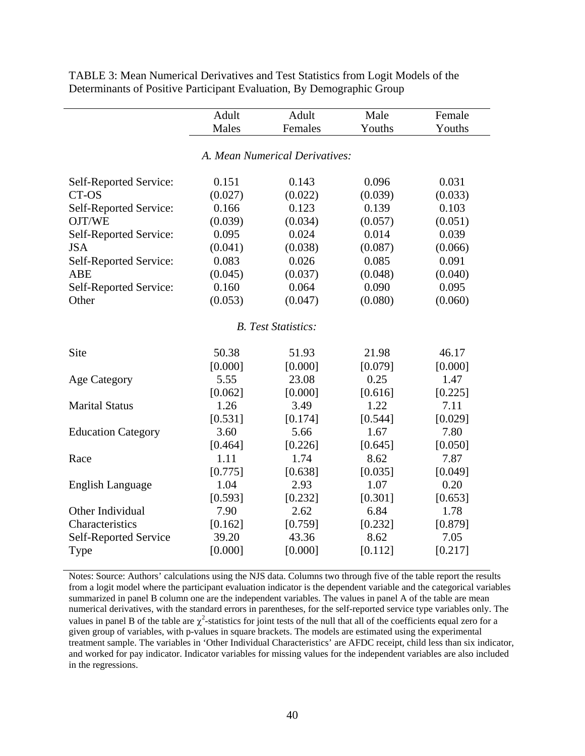|                            | Adult           | Adult                          | Male            | Female          |  |  |  |
|----------------------------|-----------------|--------------------------------|-----------------|-----------------|--|--|--|
|                            | Males           | Females                        | Youths          | Youths          |  |  |  |
|                            |                 |                                |                 |                 |  |  |  |
|                            |                 | A. Mean Numerical Derivatives: |                 |                 |  |  |  |
|                            |                 |                                |                 |                 |  |  |  |
| Self-Reported Service:     | 0.151           | 0.143                          | 0.096           | 0.031           |  |  |  |
| CT-OS                      | (0.027)         | (0.022)                        | (0.039)         | (0.033)         |  |  |  |
| Self-Reported Service:     | 0.166           | 0.123                          | 0.139           | 0.103           |  |  |  |
| OJT/WE                     | (0.039)         | (0.034)                        | (0.057)         | (0.051)         |  |  |  |
| Self-Reported Service:     | 0.095           | 0.024                          | 0.014           | 0.039           |  |  |  |
| <b>JSA</b>                 | (0.041)         | (0.038)                        | (0.087)         | (0.066)         |  |  |  |
| Self-Reported Service:     | 0.083           | 0.026                          | 0.085           | 0.091           |  |  |  |
| ABE                        | (0.045)         | (0.037)                        | (0.048)         | (0.040)         |  |  |  |
| Self-Reported Service:     | 0.160           | 0.064                          | 0.090           | 0.095           |  |  |  |
| Other                      | (0.053)         | (0.047)                        | (0.080)         | (0.060)         |  |  |  |
|                            |                 |                                |                 |                 |  |  |  |
| <b>B.</b> Test Statistics: |                 |                                |                 |                 |  |  |  |
| Site                       | 50.38           | 51.93                          | 21.98           | 46.17           |  |  |  |
|                            |                 |                                |                 |                 |  |  |  |
|                            | [0.000]<br>5.55 | [0.000]<br>23.08               | [0.079]<br>0.25 | [0.000]<br>1.47 |  |  |  |
| <b>Age Category</b>        |                 |                                |                 |                 |  |  |  |
|                            | [0.062]         | [0.000]                        | [0.616]         | [0.225]         |  |  |  |
| <b>Marital Status</b>      | 1.26            | 3.49                           | 1.22            | 7.11            |  |  |  |
|                            | [0.531]         | [0.174]                        | [0.544]         | [0.029]         |  |  |  |
| <b>Education Category</b>  | 3.60            | 5.66                           | 1.67            | 7.80            |  |  |  |
|                            | [0.464]         | [0.226]                        | [0.645]         | [0.050]         |  |  |  |
| Race                       | 1.11            | 1.74                           | 8.62            | 7.87            |  |  |  |
|                            | [0.775]         | [0.638]                        | [0.035]         | [0.049]         |  |  |  |
| English Language           | 1.04            | 2.93                           | 1.07            | 0.20            |  |  |  |
|                            | [0.593]         | [0.232]                        | [0.301]         | [0.653]         |  |  |  |
| Other Individual           | 7.90            | 2.62                           | 6.84            | 1.78            |  |  |  |
| Characteristics            | [0.162]         | [0.759]                        | [0.232]         | [0.879]         |  |  |  |
| Self-Reported Service      | 39.20           | 43.36                          | 8.62            | 7.05            |  |  |  |
| <b>Type</b>                | [0.000]         | [0.000]                        | [0.112]         | [0.217]         |  |  |  |

TABLE 3: Mean Numerical Derivatives and Test Statistics from Logit Models of the Determinants of Positive Participant Evaluation, By Demographic Group

Notes: Source: Authors' calculations using the NJS data. Columns two through five of the table report the results from a logit model where the participant evaluation indicator is the dependent variable and the categorical variables summarized in panel B column one are the independent variables. The values in panel A of the table are mean numerical derivatives, with the standard errors in parentheses, for the self-reported service type variables only. The values in panel B of the table are  $\chi^2$ -statistics for joint tests of the null that all of the coefficients equal zero for a given group of variables, with p-values in square brackets. The models are estimated using the experimental treatment sample. The variables in 'Other Individual Characteristics' are AFDC receipt, child less than six indicator, and worked for pay indicator. Indicator variables for missing values for the independent variables are also included in the regressions.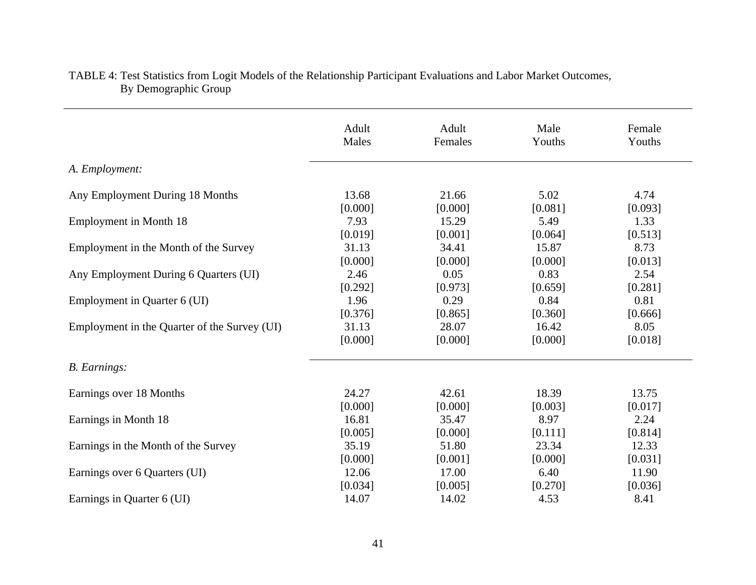|                                              | Adult   | Adult   | Male    | Female  |
|----------------------------------------------|---------|---------|---------|---------|
|                                              | Males   | Females | Youths  | Youths  |
| A. Employment:                               |         |         |         |         |
| Any Employment During 18 Months              | 13.68   | 21.66   | 5.02    | 4.74    |
|                                              | [0.000] | [0.000] | [0.081] | [0.093] |
| <b>Employment in Month 18</b>                | 7.93    | 15.29   | 5.49    | 1.33    |
|                                              | [0.019] | [0.001] | [0.064] | [0.513] |
| Employment in the Month of the Survey        | 31.13   | 34.41   | 15.87   | 8.73    |
|                                              | [0.000] | [0.000] | [0.000] | [0.013] |
| Any Employment During 6 Quarters (UI)        | 2.46    | 0.05    | 0.83    | 2.54    |
|                                              | [0.292] | [0.973] | [0.659] | [0.281] |
| Employment in Quarter 6 (UI)                 | 1.96    | 0.29    | 0.84    | 0.81    |
|                                              | [0.376] | [0.865] | [0.360] | [0.666] |
| Employment in the Quarter of the Survey (UI) | 31.13   | 28.07   | 16.42   | 8.05    |
|                                              | [0.000] | [0.000] | [0.000] | [0.018] |
| <b>B.</b> Earnings:                          |         |         |         |         |
| Earnings over 18 Months                      | 24.27   | 42.61   | 18.39   | 13.75   |
|                                              | [0.000] | [0.000] | [0.003] | [0.017] |
| Earnings in Month 18                         | 16.81   | 35.47   | 8.97    | 2.24    |
|                                              | [0.005] | [0.000] | [0.111] | [0.814] |
| Earnings in the Month of the Survey          | 35.19   | 51.80   | 23.34   | 12.33   |
|                                              | [0.000] | [0.001] | [0.000] | [0.031] |
| Earnings over 6 Quarters (UI)                | 12.06   | 17.00   | 6.40    | 11.90   |
|                                              | [0.034] | [0.005] | [0.270] | [0.036] |
| Earnings in Quarter 6 (UI)                   | 14.07   | 14.02   | 4.53    | 8.41    |

## TABLE 4: Test Statistics from Logit Models of the Relationship Participant Evaluations and Labor Market Outcomes, By Demographic Group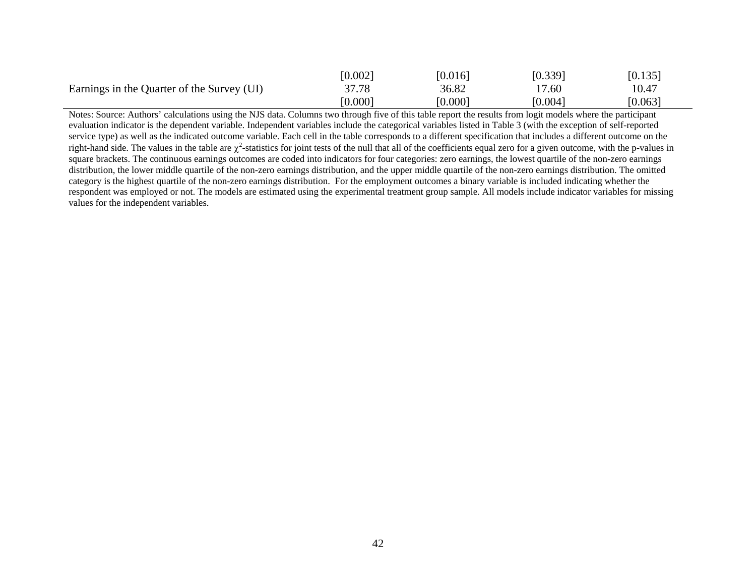|                                            | [0.002] | [0.016] | [0.339] | [0.135] |
|--------------------------------------------|---------|---------|---------|---------|
| Earnings in the Quarter of the Survey (UI) | 37.78   | 36.82   | 17.60   | 10.47   |
|                                            | [0.000] | [0.000] | [0.004] | [0.063] |

Notes: Source: Authors' calculations using the NJS data. Columns two through five of this table report the results from logit models where the participant evaluation indicator is the dependent variable. Independent variables include the categorical variables listed in Table 3 (with the exception of self-reported service type) as well as the indicated outcome variable. Each cell in the table corresponds to a different specification that includes a different outcome on the right-hand side. The values in the table are  $\chi^2$ -statistics for joint tests of the null that all of the coefficients equal zero for a given outcome, with the p-values in square brackets. The continuous earnings outcomes are coded into indicators for four categories: zero earnings, the lowest quartile of the non-zero earnings distribution, the lower middle quartile of the non-zero earnings distribution, and the upper middle quartile of the non-zero earnings distribution. The omitted category is the highest quartile of the non-zero earnings distribution. For the employment outcomes a binary variable is included indicating whether the respondent was employed or not. The models are estimated using the experimental treatment group sample. All models include indicator variables for missing values for the independent variables.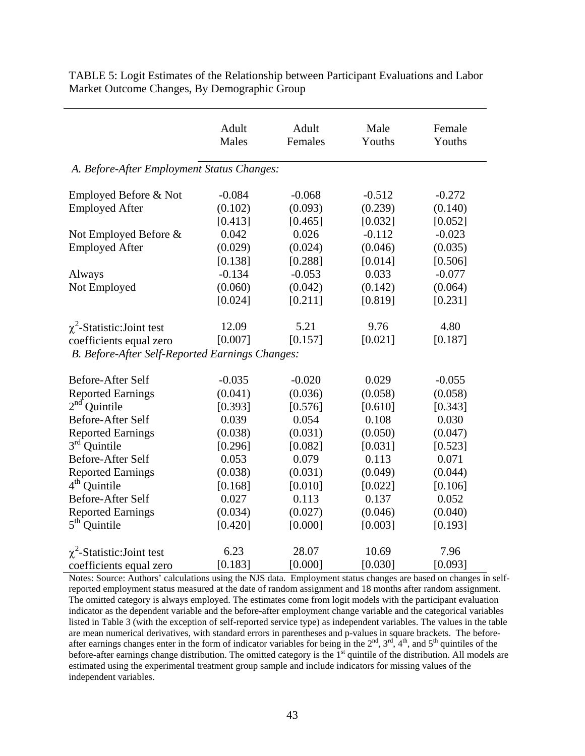|                                                 | Adult<br>Males | Adult<br>Females | Male<br>Youths | Female<br>Youths |  |  |  |  |
|-------------------------------------------------|----------------|------------------|----------------|------------------|--|--|--|--|
| A. Before-After Employment Status Changes:      |                |                  |                |                  |  |  |  |  |
| Employed Before & Not                           | $-0.084$       | $-0.068$         | $-0.512$       | $-0.272$         |  |  |  |  |
| <b>Employed After</b>                           | (0.102)        | (0.093)          | (0.239)        | (0.140)          |  |  |  |  |
|                                                 | [0.413]        | [0.465]          | [0.032]        | [0.052]          |  |  |  |  |
| Not Employed Before &                           | 0.042          | 0.026            | $-0.112$       | $-0.023$         |  |  |  |  |
| <b>Employed After</b>                           | (0.029)        | (0.024)          | (0.046)        | (0.035)          |  |  |  |  |
|                                                 | [0.138]        | [0.288]          | [0.014]        | [0.506]          |  |  |  |  |
| Always                                          | $-0.134$       | $-0.053$         | 0.033          | $-0.077$         |  |  |  |  |
| Not Employed                                    | (0.060)        | (0.042)          | (0.142)        | (0.064)          |  |  |  |  |
|                                                 | [0.024]        | [0.211]          | [0.819]        | [0.231]          |  |  |  |  |
| $\chi^2$ -Statistic: Joint test                 | 12.09          | 5.21             | 9.76           | 4.80             |  |  |  |  |
| coefficients equal zero                         | [0.007]        | [0.157]          | [0.021]        | [0.187]          |  |  |  |  |
| B. Before-After Self-Reported Earnings Changes: |                |                  |                |                  |  |  |  |  |
| Before-After Self                               | $-0.035$       | $-0.020$         | 0.029          | $-0.055$         |  |  |  |  |
| <b>Reported Earnings</b>                        | (0.041)        | (0.036)          | (0.058)        | (0.058)          |  |  |  |  |
| $2nd$ Quintile                                  | [0.393]        | [0.576]          | [0.610]        | [0.343]          |  |  |  |  |
| Before-After Self                               | 0.039          | 0.054            | 0.108          | 0.030            |  |  |  |  |
| <b>Reported Earnings</b>                        | (0.038)        | (0.031)          | (0.050)        | (0.047)          |  |  |  |  |
| $3rd$ Quintile                                  | [0.296]        | [0.082]          | [0.031]        | [0.523]          |  |  |  |  |
| Before-After Self                               | 0.053          | 0.079            | 0.113          | 0.071            |  |  |  |  |
| <b>Reported Earnings</b>                        | (0.038)        | (0.031)          | (0.049)        | (0.044)          |  |  |  |  |
| $4th$ Quintile                                  | [0.168]        | [0.010]          | [0.022]        | [0.106]          |  |  |  |  |
| Before-After Self                               | 0.027          | 0.113            | 0.137          | 0.052            |  |  |  |  |
| <b>Reported Earnings</b>                        | (0.034)        | (0.027)          | (0.046)        | (0.040)          |  |  |  |  |
| $5th$ Quintile                                  | [0.420]        | [0.000]          | [0.003]        | [0.193]          |  |  |  |  |
| $\chi^2$ -Statistic: Joint test                 | 6.23           | 28.07            | 10.69          | 7.96             |  |  |  |  |
| coefficients equal zero                         | [0.183]        | [0.000]          | [0.030]        | [0.093]          |  |  |  |  |

TABLE 5: Logit Estimates of the Relationship between Participant Evaluations and Labor Market Outcome Changes, By Demographic Group

Notes: Source: Authors' calculations using the NJS data. Employment status changes are based on changes in selfreported employment status measured at the date of random assignment and 18 months after random assignment. The omitted category is always employed. The estimates come from logit models with the participant evaluation indicator as the dependent variable and the before-after employment change variable and the categorical variables listed in Table 3 (with the exception of self-reported service type) as independent variables. The values in the table are mean numerical derivatives, with standard errors in parentheses and p-values in square brackets. The beforeafter earnings changes enter in the form of indicator variables for being in the  $2<sup>nd</sup>$ ,  $3<sup>rd</sup>$ ,  $4<sup>th</sup>$ , and  $5<sup>th</sup>$  quintiles of the before-after earnings change distribution. The omitted category is the  $1<sup>st</sup>$  quintile of the distribution. All models are estimated using the experimental treatment group sample and include indicators for missing values of the independent variables.